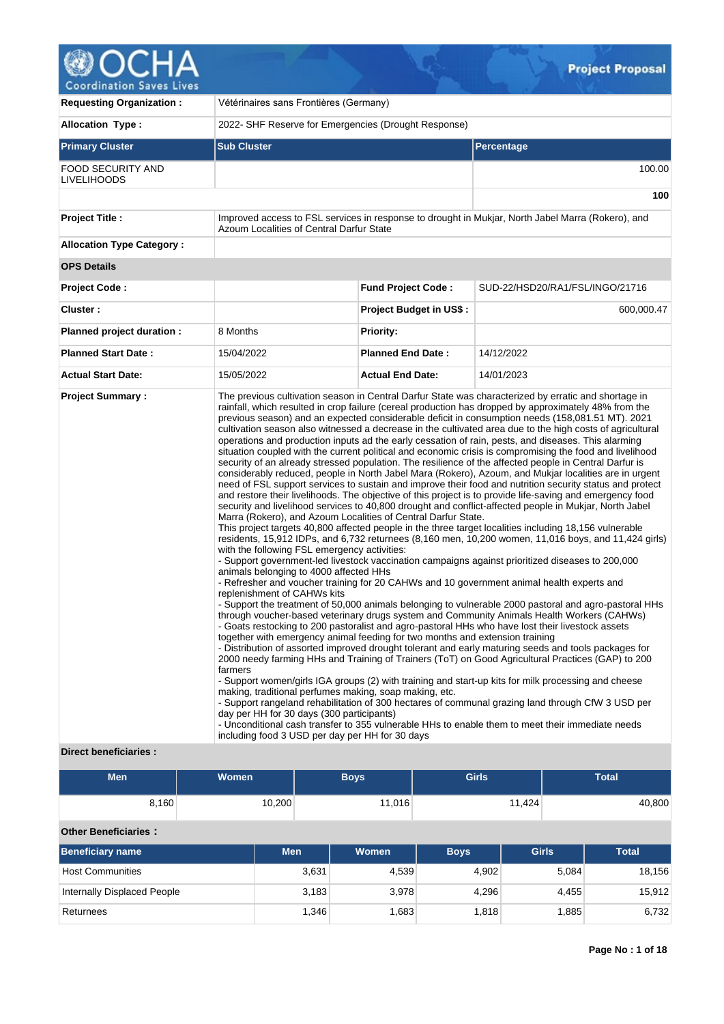## Δ  $\mathsf{C}^{\bullet}$ **Coordination Saves Lives**

| <b>Requesting Organization:</b>  |                    | Vétérinaires sans Frontières (Germany)                                                                             |                                                                                                                                                                                                                                                                                                            |                                |                                                                                                                                                                                                                                                                                                                                                                                                                                                                                                                                                                                                                                                                                                                                                                                                                                                                                                                                                                                                                                                                                                                                                                                                                                                                                                                                                                                                                                                                                                                                                                                                                                                                                                                                                                                                                                                                                                                                                                                                                                                                                                                                                                                                                                                                                                                                                                                                                                                                                  |                                 |              |  |  |  |
|----------------------------------|--------------------|--------------------------------------------------------------------------------------------------------------------|------------------------------------------------------------------------------------------------------------------------------------------------------------------------------------------------------------------------------------------------------------------------------------------------------------|--------------------------------|----------------------------------------------------------------------------------------------------------------------------------------------------------------------------------------------------------------------------------------------------------------------------------------------------------------------------------------------------------------------------------------------------------------------------------------------------------------------------------------------------------------------------------------------------------------------------------------------------------------------------------------------------------------------------------------------------------------------------------------------------------------------------------------------------------------------------------------------------------------------------------------------------------------------------------------------------------------------------------------------------------------------------------------------------------------------------------------------------------------------------------------------------------------------------------------------------------------------------------------------------------------------------------------------------------------------------------------------------------------------------------------------------------------------------------------------------------------------------------------------------------------------------------------------------------------------------------------------------------------------------------------------------------------------------------------------------------------------------------------------------------------------------------------------------------------------------------------------------------------------------------------------------------------------------------------------------------------------------------------------------------------------------------------------------------------------------------------------------------------------------------------------------------------------------------------------------------------------------------------------------------------------------------------------------------------------------------------------------------------------------------------------------------------------------------------------------------------------------------|---------------------------------|--------------|--|--|--|
| <b>Allocation Type:</b>          |                    |                                                                                                                    | 2022- SHF Reserve for Emergencies (Drought Response)                                                                                                                                                                                                                                                       |                                |                                                                                                                                                                                                                                                                                                                                                                                                                                                                                                                                                                                                                                                                                                                                                                                                                                                                                                                                                                                                                                                                                                                                                                                                                                                                                                                                                                                                                                                                                                                                                                                                                                                                                                                                                                                                                                                                                                                                                                                                                                                                                                                                                                                                                                                                                                                                                                                                                                                                                  |                                 |              |  |  |  |
| <b>Primary Cluster</b>           | <b>Sub Cluster</b> |                                                                                                                    |                                                                                                                                                                                                                                                                                                            |                                | Percentage                                                                                                                                                                                                                                                                                                                                                                                                                                                                                                                                                                                                                                                                                                                                                                                                                                                                                                                                                                                                                                                                                                                                                                                                                                                                                                                                                                                                                                                                                                                                                                                                                                                                                                                                                                                                                                                                                                                                                                                                                                                                                                                                                                                                                                                                                                                                                                                                                                                                       |                                 |              |  |  |  |
| FOOD SECURITY AND<br>LIVELIHOODS |                    |                                                                                                                    |                                                                                                                                                                                                                                                                                                            |                                |                                                                                                                                                                                                                                                                                                                                                                                                                                                                                                                                                                                                                                                                                                                                                                                                                                                                                                                                                                                                                                                                                                                                                                                                                                                                                                                                                                                                                                                                                                                                                                                                                                                                                                                                                                                                                                                                                                                                                                                                                                                                                                                                                                                                                                                                                                                                                                                                                                                                                  |                                 | 100.00       |  |  |  |
|                                  |                    |                                                                                                                    |                                                                                                                                                                                                                                                                                                            |                                |                                                                                                                                                                                                                                                                                                                                                                                                                                                                                                                                                                                                                                                                                                                                                                                                                                                                                                                                                                                                                                                                                                                                                                                                                                                                                                                                                                                                                                                                                                                                                                                                                                                                                                                                                                                                                                                                                                                                                                                                                                                                                                                                                                                                                                                                                                                                                                                                                                                                                  |                                 | 100          |  |  |  |
| <b>Project Title:</b>            |                    | Azoum Localities of Central Darfur State                                                                           | Improved access to FSL services in response to drought in Mukjar, North Jabel Marra (Rokero), and                                                                                                                                                                                                          |                                |                                                                                                                                                                                                                                                                                                                                                                                                                                                                                                                                                                                                                                                                                                                                                                                                                                                                                                                                                                                                                                                                                                                                                                                                                                                                                                                                                                                                                                                                                                                                                                                                                                                                                                                                                                                                                                                                                                                                                                                                                                                                                                                                                                                                                                                                                                                                                                                                                                                                                  |                                 |              |  |  |  |
| <b>Allocation Type Category:</b> |                    |                                                                                                                    |                                                                                                                                                                                                                                                                                                            |                                |                                                                                                                                                                                                                                                                                                                                                                                                                                                                                                                                                                                                                                                                                                                                                                                                                                                                                                                                                                                                                                                                                                                                                                                                                                                                                                                                                                                                                                                                                                                                                                                                                                                                                                                                                                                                                                                                                                                                                                                                                                                                                                                                                                                                                                                                                                                                                                                                                                                                                  |                                 |              |  |  |  |
| <b>OPS Details</b>               |                    |                                                                                                                    |                                                                                                                                                                                                                                                                                                            |                                |                                                                                                                                                                                                                                                                                                                                                                                                                                                                                                                                                                                                                                                                                                                                                                                                                                                                                                                                                                                                                                                                                                                                                                                                                                                                                                                                                                                                                                                                                                                                                                                                                                                                                                                                                                                                                                                                                                                                                                                                                                                                                                                                                                                                                                                                                                                                                                                                                                                                                  |                                 |              |  |  |  |
| Project Code:                    |                    |                                                                                                                    | <b>Fund Project Code:</b>                                                                                                                                                                                                                                                                                  |                                |                                                                                                                                                                                                                                                                                                                                                                                                                                                                                                                                                                                                                                                                                                                                                                                                                                                                                                                                                                                                                                                                                                                                                                                                                                                                                                                                                                                                                                                                                                                                                                                                                                                                                                                                                                                                                                                                                                                                                                                                                                                                                                                                                                                                                                                                                                                                                                                                                                                                                  | SUD-22/HSD20/RA1/FSL/INGO/21716 |              |  |  |  |
| Cluster:                         |                    |                                                                                                                    |                                                                                                                                                                                                                                                                                                            | <b>Project Budget in US\$:</b> |                                                                                                                                                                                                                                                                                                                                                                                                                                                                                                                                                                                                                                                                                                                                                                                                                                                                                                                                                                                                                                                                                                                                                                                                                                                                                                                                                                                                                                                                                                                                                                                                                                                                                                                                                                                                                                                                                                                                                                                                                                                                                                                                                                                                                                                                                                                                                                                                                                                                                  |                                 | 600,000.47   |  |  |  |
| Planned project duration :       | 8 Months           |                                                                                                                    | <b>Priority:</b>                                                                                                                                                                                                                                                                                           |                                |                                                                                                                                                                                                                                                                                                                                                                                                                                                                                                                                                                                                                                                                                                                                                                                                                                                                                                                                                                                                                                                                                                                                                                                                                                                                                                                                                                                                                                                                                                                                                                                                                                                                                                                                                                                                                                                                                                                                                                                                                                                                                                                                                                                                                                                                                                                                                                                                                                                                                  |                                 |              |  |  |  |
| <b>Planned Start Date:</b>       | 15/04/2022         |                                                                                                                    | <b>Planned End Date:</b>                                                                                                                                                                                                                                                                                   |                                | 14/12/2022                                                                                                                                                                                                                                                                                                                                                                                                                                                                                                                                                                                                                                                                                                                                                                                                                                                                                                                                                                                                                                                                                                                                                                                                                                                                                                                                                                                                                                                                                                                                                                                                                                                                                                                                                                                                                                                                                                                                                                                                                                                                                                                                                                                                                                                                                                                                                                                                                                                                       |                                 |              |  |  |  |
| <b>Actual Start Date:</b>        | 15/05/2022         |                                                                                                                    | <b>Actual End Date:</b>                                                                                                                                                                                                                                                                                    |                                |                                                                                                                                                                                                                                                                                                                                                                                                                                                                                                                                                                                                                                                                                                                                                                                                                                                                                                                                                                                                                                                                                                                                                                                                                                                                                                                                                                                                                                                                                                                                                                                                                                                                                                                                                                                                                                                                                                                                                                                                                                                                                                                                                                                                                                                                                                                                                                                                                                                                                  |                                 |              |  |  |  |
| <b>Direct beneficiaries:</b>     | farmers            | animals belonging to 4000 affected HHs<br>replenishment of CAHWs kits<br>day per HH for 30 days (300 participants) | Marra (Rokero), and Azoum Localities of Central Darfur State.<br>with the following FSL emergency activities:<br>together with emergency animal feeding for two months and extension training<br>making, traditional perfumes making, soap making, etc.<br>including food 3 USD per day per HH for 30 days |                                | 14/01/2023<br>The previous cultivation season in Central Darfur State was characterized by erratic and shortage in<br>rainfall, which resulted in crop failure (cereal production has dropped by approximately 48% from the<br>previous season) and an expected considerable deficit in consumption needs (158,081.51 MT). 2021<br>cultivation season also witnessed a decrease in the cultivated area due to the high costs of agricultural<br>operations and production inputs ad the early cessation of rain, pests, and diseases. This alarming<br>situation coupled with the current political and economic crisis is compromising the food and livelihood<br>security of an already stressed population. The resilience of the affected people in Central Darfur is<br>considerably reduced, people in North Jabel Mara (Rokero), Azoum, and Mukjar localities are in urgent<br>need of FSL support services to sustain and improve their food and nutrition security status and protect<br>and restore their livelihoods. The objective of this project is to provide life-saving and emergency food<br>security and livelihood services to 40,800 drought and conflict-affected people in Mukjar, North Jabel<br>This project targets 40,800 affected people in the three target localities including 18,156 vulnerable<br>residents, 15,912 IDPs, and 6,732 returnees (8,160 men, 10,200 women, 11,016 boys, and 11,424 girls)<br>- Support government-led livestock vaccination campaigns against prioritized diseases to 200,000<br>- Refresher and voucher training for 20 CAHWs and 10 government animal health experts and<br>- Support the treatment of 50,000 animals belonging to vulnerable 2000 pastoral and agro-pastoral HHs<br>through voucher-based veterinary drugs system and Community Animals Health Workers (CAHWs)<br>- Goats restocking to 200 pastoralist and agro-pastoral HHs who have lost their livestock assets<br>- Distribution of assorted improved drought tolerant and early maturing seeds and tools packages for<br>2000 needy farming HHs and Training of Trainers (ToT) on Good Agricultural Practices (GAP) to 200<br>- Support women/girls IGA groups (2) with training and start-up kits for milk processing and cheese<br>- Support rangeland rehabilitation of 300 hectares of communal grazing land through CfW 3 USD per<br>- Unconditional cash transfer to 355 vulnerable HHs to enable them to meet their immediate needs |                                 |              |  |  |  |
| <b>Men</b>                       | Women              |                                                                                                                    | <b>Boys</b>                                                                                                                                                                                                                                                                                                |                                | <b>Girls</b>                                                                                                                                                                                                                                                                                                                                                                                                                                                                                                                                                                                                                                                                                                                                                                                                                                                                                                                                                                                                                                                                                                                                                                                                                                                                                                                                                                                                                                                                                                                                                                                                                                                                                                                                                                                                                                                                                                                                                                                                                                                                                                                                                                                                                                                                                                                                                                                                                                                                     |                                 | <b>Total</b> |  |  |  |
| 8,160                            |                    | 10,200                                                                                                             | 11,016                                                                                                                                                                                                                                                                                                     |                                |                                                                                                                                                                                                                                                                                                                                                                                                                                                                                                                                                                                                                                                                                                                                                                                                                                                                                                                                                                                                                                                                                                                                                                                                                                                                                                                                                                                                                                                                                                                                                                                                                                                                                                                                                                                                                                                                                                                                                                                                                                                                                                                                                                                                                                                                                                                                                                                                                                                                                  | 11,424                          | 40,800       |  |  |  |
|                                  |                    |                                                                                                                    |                                                                                                                                                                                                                                                                                                            |                                |                                                                                                                                                                                                                                                                                                                                                                                                                                                                                                                                                                                                                                                                                                                                                                                                                                                                                                                                                                                                                                                                                                                                                                                                                                                                                                                                                                                                                                                                                                                                                                                                                                                                                                                                                                                                                                                                                                                                                                                                                                                                                                                                                                                                                                                                                                                                                                                                                                                                                  |                                 |              |  |  |  |
| <b>Other Beneficiaries:</b>      |                    |                                                                                                                    |                                                                                                                                                                                                                                                                                                            |                                |                                                                                                                                                                                                                                                                                                                                                                                                                                                                                                                                                                                                                                                                                                                                                                                                                                                                                                                                                                                                                                                                                                                                                                                                                                                                                                                                                                                                                                                                                                                                                                                                                                                                                                                                                                                                                                                                                                                                                                                                                                                                                                                                                                                                                                                                                                                                                                                                                                                                                  |                                 |              |  |  |  |
| <b>Beneficiary name</b>          |                    | Men                                                                                                                | <b>Women</b>                                                                                                                                                                                                                                                                                               | <b>Boys</b>                    |                                                                                                                                                                                                                                                                                                                                                                                                                                                                                                                                                                                                                                                                                                                                                                                                                                                                                                                                                                                                                                                                                                                                                                                                                                                                                                                                                                                                                                                                                                                                                                                                                                                                                                                                                                                                                                                                                                                                                                                                                                                                                                                                                                                                                                                                                                                                                                                                                                                                                  | <b>Girls</b><br>5,084           | <b>Total</b> |  |  |  |
| <b>Host Communities</b>          |                    | 3,631                                                                                                              | 4,539                                                                                                                                                                                                                                                                                                      |                                | 4,902                                                                                                                                                                                                                                                                                                                                                                                                                                                                                                                                                                                                                                                                                                                                                                                                                                                                                                                                                                                                                                                                                                                                                                                                                                                                                                                                                                                                                                                                                                                                                                                                                                                                                                                                                                                                                                                                                                                                                                                                                                                                                                                                                                                                                                                                                                                                                                                                                                                                            | 18,156                          |              |  |  |  |

Internally Displaced People 2,183 3,183 3,978 4,296 4,455 4,455 4,455 Returnees 1,346 1,683 1,818 1,885 6,732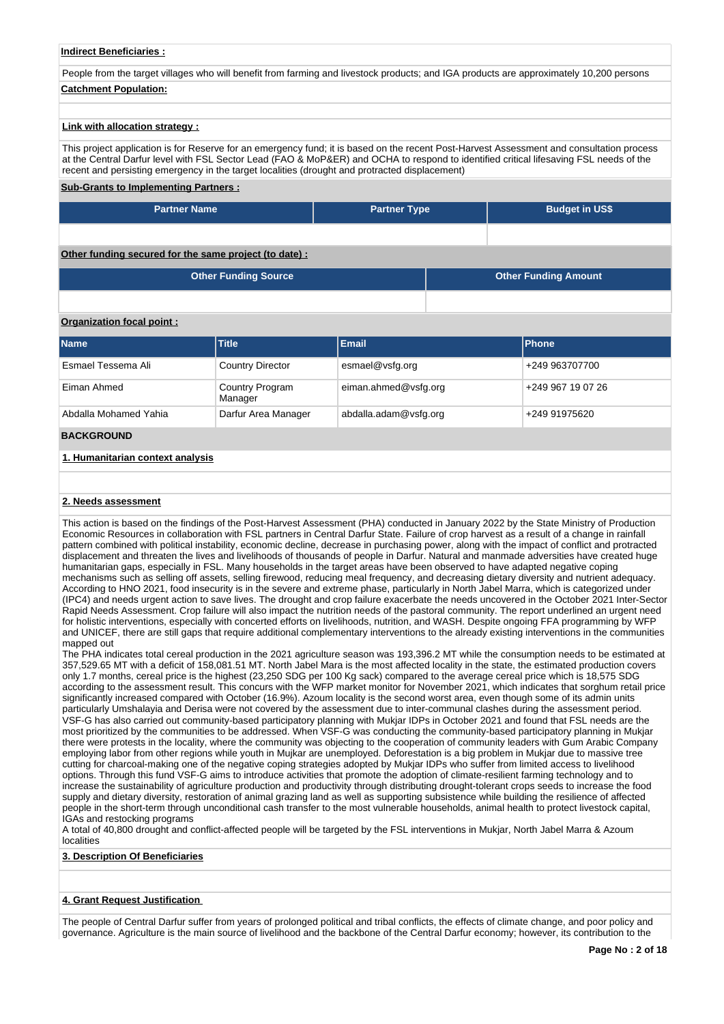## **Indirect Beneficiaries :**

People from the target villages who will benefit from farming and livestock products; and IGA products are approximately 10,200 persons **Catchment Population:**

## **Link with allocation strategy :**

This project application is for Reserve for an emergency fund; it is based on the recent Post-Harvest Assessment and consultation process at the Central Darfur level with FSL Sector Lead (FAO & MoP&ER) and OCHA to respond to identified critical lifesaving FSL needs of the recent and persisting emergency in the target localities (drought and protracted displacement)

## **Sub-Grants to Implementing Partners :**

| <b>Partner Name</b>                          | <b>Partner Type</b> | <b>Budget in US\$</b> |
|----------------------------------------------|---------------------|-----------------------|
|                                              |                     |                       |
| ing secured for the same project (to date) : |                     |                       |

| Other Funding Source | <b>Other Funding Amount</b> |
|----------------------|-----------------------------|
|                      |                             |

### **Organization focal point :**

**Other fund** 

| <b>Name</b>                      | <b>Title</b>                      | <b>Email</b>          | <b>Phone</b>      |
|----------------------------------|-----------------------------------|-----------------------|-------------------|
| Esmael Tessema Ali               | <b>Country Director</b>           | esmael@vsfg.org       | +249 963707700    |
| Eiman Ahmed                      | <b>Country Program</b><br>Manager | eiman.ahmed@vsfg.org  | +249 967 19 07 26 |
| Abdalla Mohamed Yahia            | Darfur Area Manager               | abdalla.adam@vsfg.org | +249 91975620     |
| <b>BACKGROUND</b>                |                                   |                       |                   |
| 1. Humanitarian context analysis |                                   |                       |                   |

#### **2. Needs assessment**

This action is based on the findings of the Post-Harvest Assessment (PHA) conducted in January 2022 by the State Ministry of Production Economic Resources in collaboration with FSL partners in Central Darfur State. Failure of crop harvest as a result of a change in rainfall pattern combined with political instability, economic decline, decrease in purchasing power, along with the impact of conflict and protracted displacement and threaten the lives and livelihoods of thousands of people in Darfur. Natural and manmade adversities have created huge humanitarian gaps, especially in FSL. Many households in the target areas have been observed to have adapted negative coping mechanisms such as selling off assets, selling firewood, reducing meal frequency, and decreasing dietary diversity and nutrient adequacy. According to HNO 2021, food insecurity is in the severe and extreme phase, particularly in North Jabel Marra, which is categorized under (IPC4) and needs urgent action to save lives. The drought and crop failure exacerbate the needs uncovered in the October 2021 Inter-Sector Rapid Needs Assessment. Crop failure will also impact the nutrition needs of the pastoral community. The report underlined an urgent need for holistic interventions, especially with concerted efforts on livelihoods, nutrition, and WASH. Despite ongoing FFA programming by WFP and UNICEF, there are still gaps that require additional complementary interventions to the already existing interventions in the communities mapped out

The PHA indicates total cereal production in the 2021 agriculture season was 193,396.2 MT while the consumption needs to be estimated at 357,529.65 MT with a deficit of 158,081.51 MT. North Jabel Mara is the most affected locality in the state, the estimated production covers only 1.7 months, cereal price is the highest (23,250 SDG per 100 Kg sack) compared to the average cereal price which is 18,575 SDG according to the assessment result. This concurs with the WFP market monitor for November 2021, which indicates that sorghum retail price significantly increased compared with October (16.9%). Azoum locality is the second worst area, even though some of its admin units particularly Umshalayia and Derisa were not covered by the assessment due to inter-communal clashes during the assessment period. VSF-G has also carried out community-based participatory planning with Mukjar IDPs in October 2021 and found that FSL needs are the most prioritized by the communities to be addressed. When VSF-G was conducting the community-based participatory planning in Mukjar there were protests in the locality, where the community was objecting to the cooperation of community leaders with Gum Arabic Company employing labor from other regions while youth in Mujkar are unemployed. Deforestation is a big problem in Mukjar due to massive tree cutting for charcoal-making one of the negative coping strategies adopted by Mukjar IDPs who suffer from limited access to livelihood options. Through this fund VSF-G aims to introduce activities that promote the adoption of climate-resilient farming technology and to increase the sustainability of agriculture production and productivity through distributing drought-tolerant crops seeds to increase the food supply and dietary diversity, restoration of animal grazing land as well as supporting subsistence while building the resilience of affected people in the short-term through unconditional cash transfer to the most vulnerable households, animal health to protect livestock capital, IGAs and restocking programs

A total of 40,800 drought and conflict-affected people will be targeted by the FSL interventions in Mukjar, North Jabel Marra & Azoum localities

## **3. Description Of Beneficiaries**

## **4. Grant Request Justification**

The people of Central Darfur suffer from years of prolonged political and tribal conflicts, the effects of climate change, and poor policy and governance. Agriculture is the main source of livelihood and the backbone of the Central Darfur economy; however, its contribution to the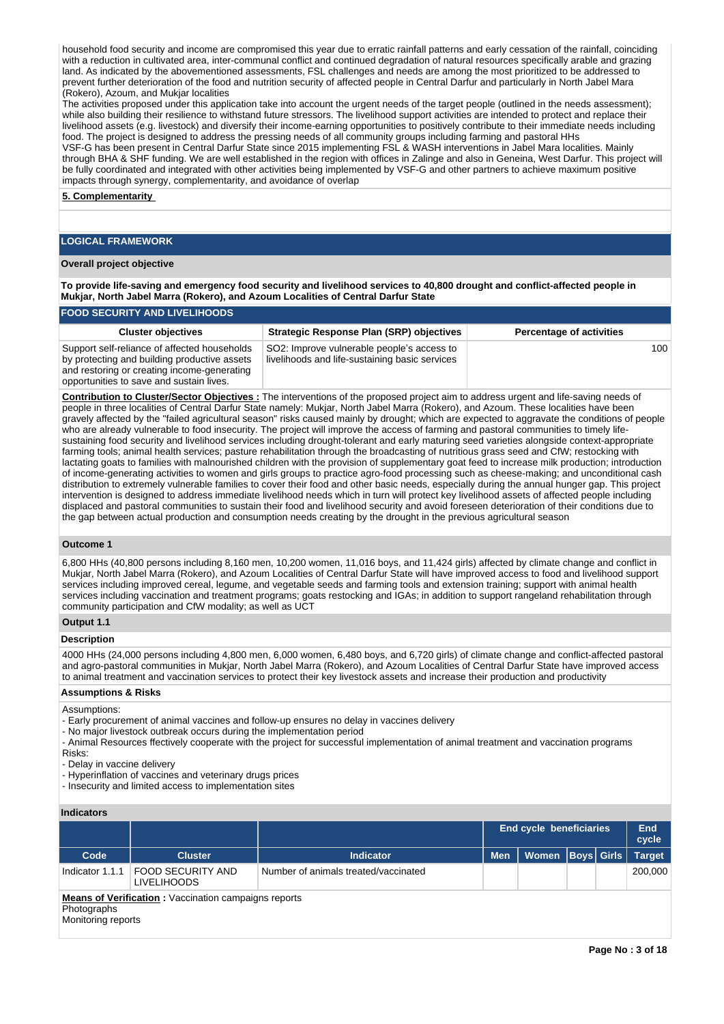household food security and income are compromised this year due to erratic rainfall patterns and early cessation of the rainfall, coinciding with a reduction in cultivated area, inter-communal conflict and continued degradation of natural resources specifically arable and grazing land. As indicated by the abovementioned assessments, FSL challenges and needs are among the most prioritized to be addressed to prevent further deterioration of the food and nutrition security of affected people in Central Darfur and particularly in North Jabel Mara (Rokero), Azoum, and Mukjar localities

The activities proposed under this application take into account the urgent needs of the target people (outlined in the needs assessment); while also building their resilience to withstand future stressors. The livelihood support activities are intended to protect and replace their livelihood assets (e.g. livestock) and diversify their income-earning opportunities to positively contribute to their immediate needs including food. The project is designed to address the pressing needs of all community groups including farming and pastoral HHs VSF-G has been present in Central Darfur State since 2015 implementing FSL & WASH interventions in Jabel Mara localities. Mainly through BHA & SHF funding. We are well established in the region with offices in Zalinge and also in Geneina, West Darfur. This project will be fully coordinated and integrated with other activities being implemented by VSF-G and other partners to achieve maximum positive impacts through synergy, complementarity, and avoidance of overlap

#### **5. Complementarity**

## **LOGICAL FRAMEWORK**

#### **Overall project objective**

**To provide life-saving and emergency food security and livelihood services to 40,800 drought and conflict-affected people in Mukjar, North Jabel Marra (Rokero), and Azoum Localities of Central Darfur State** 

## **FOOD SECURITY AND LIVELIHOODS**

| <b>Cluster objectives</b>                                                                                                                                                               | <b>Strategic Response Plan (SRP) objectives</b>                                              | <b>Percentage of activities</b> |
|-----------------------------------------------------------------------------------------------------------------------------------------------------------------------------------------|----------------------------------------------------------------------------------------------|---------------------------------|
| Support self-reliance of affected households<br>by protecting and building productive assets<br>and restoring or creating income-generating<br>opportunities to save and sustain lives. | SO2: Improve vulnerable people's access to<br>livelihoods and life-sustaining basic services | 100                             |

**Contribution to Cluster/Sector Objectives :** The interventions of the proposed project aim to address urgent and life-saving needs of people in three localities of Central Darfur State namely: Mukjar, North Jabel Marra (Rokero), and Azoum. These localities have been gravely affected by the "failed agricultural season" risks caused mainly by drought; which are expected to aggravate the conditions of people who are already vulnerable to food insecurity. The project will improve the access of farming and pastoral communities to timely lifesustaining food security and livelihood services including drought-tolerant and early maturing seed varieties alongside context-appropriate farming tools; animal health services; pasture rehabilitation through the broadcasting of nutritious grass seed and CfW; restocking with lactating goats to families with malnourished children with the provision of supplementary goat feed to increase milk production; introduction of income-generating activities to women and girls groups to practice agro-food processing such as cheese-making; and unconditional cash distribution to extremely vulnerable families to cover their food and other basic needs, especially during the annual hunger gap. This project intervention is designed to address immediate livelihood needs which in turn will protect key livelihood assets of affected people including displaced and pastoral communities to sustain their food and livelihood security and avoid foreseen deterioration of their conditions due to the gap between actual production and consumption needs creating by the drought in the previous agricultural season

## **Outcome 1**

6,800 HHs (40,800 persons including 8,160 men, 10,200 women, 11,016 boys, and 11,424 girls) affected by climate change and conflict in Mukjar, North Jabel Marra (Rokero), and Azoum Localities of Central Darfur State will have improved access to food and livelihood support services including improved cereal, legume, and vegetable seeds and farming tools and extension training; support with animal health services including vaccination and treatment programs; goats restocking and IGAs; in addition to support rangeland rehabilitation through community participation and CfW modality; as well as UCT

## **Output 1.1**

## **Description**

4000 HHs (24,000 persons including 4,800 men, 6,000 women, 6,480 boys, and 6,720 girls) of climate change and conflict-affected pastoral and agro-pastoral communities in Mukjar, North Jabel Marra (Rokero), and Azoum Localities of Central Darfur State have improved access to animal treatment and vaccination services to protect their key livestock assets and increase their production and productivity

#### **Assumptions & Risks**

Assumptions:

- Early procurement of animal vaccines and follow-up ensures no delay in vaccines delivery
- No major livestock outbreak occurs during the implementation period
- Animal Resources ffectively cooperate with the project for successful implementation of animal treatment and vaccination programs
- Risks:
- Delay in vaccine delivery
- Hyperinflation of vaccines and veterinary drugs prices
- Insecurity and limited access to implementation sites

## **Indicators**

|                                                     |                                                           |                                      | <b>End cycle beneficiaries</b> | End<br>cycle         |  |  |               |  |  |  |  |
|-----------------------------------------------------|-----------------------------------------------------------|--------------------------------------|--------------------------------|----------------------|--|--|---------------|--|--|--|--|
| Code                                                | <b>Cluster</b>                                            | Indicator                            | <b>Men</b>                     | Women   Boys   Girls |  |  | <b>Target</b> |  |  |  |  |
|                                                     | Indicator 1.1.1   FOOD SECURITY AND<br><b>LIVELIHOODS</b> | Number of animals treated/vaccinated |                                |                      |  |  | 200.000       |  |  |  |  |
| Means of Verification Vaccination campaigns reports |                                                           |                                      |                                |                      |  |  |               |  |  |  |  |

**<u>on</u> :** Vaccination campaigns rep

## **Photographs**

Monitoring reports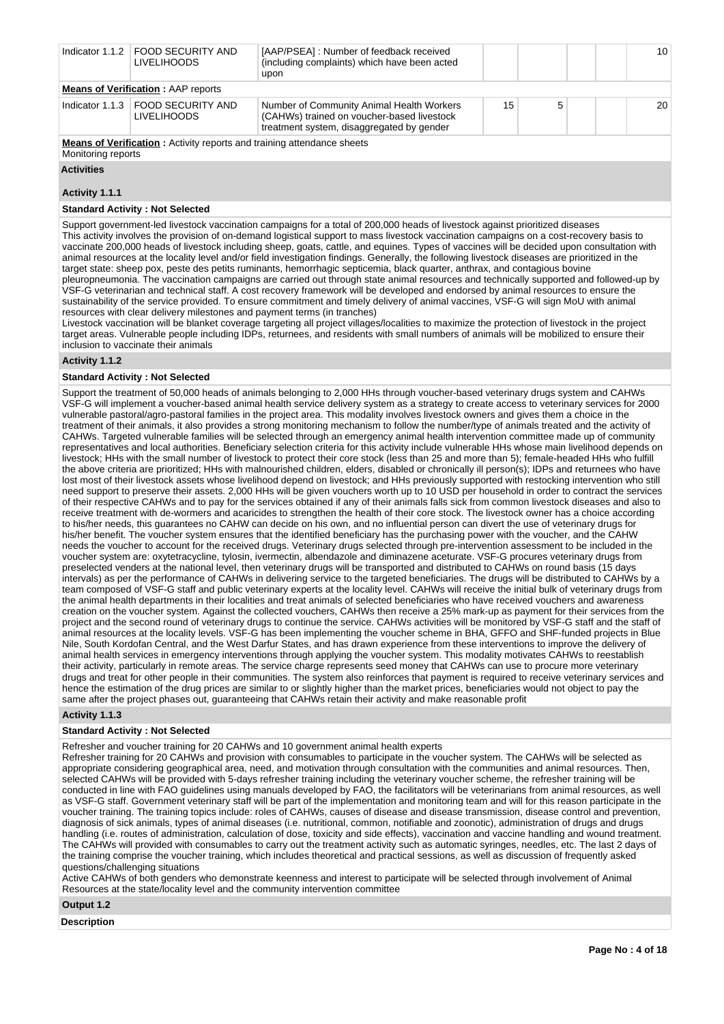|                                           | Indicator 1.1.2   FOOD SECURITY AND<br><b>LIVELIHOODS</b>                     | [AAP/PSEA]: Number of feedback received<br>(including complaints) which have been acted<br>upon                                      |    |   |  | 10 |  |  |
|-------------------------------------------|-------------------------------------------------------------------------------|--------------------------------------------------------------------------------------------------------------------------------------|----|---|--|----|--|--|
| <b>Means of Verification: AAP reports</b> |                                                                               |                                                                                                                                      |    |   |  |    |  |  |
|                                           | Indicator 1.1.3 FOOD SECURITY AND<br><b>LIVELIHOODS</b>                       | Number of Community Animal Health Workers<br>(CAHWs) trained on voucher-based livestock<br>treatment system, disaggregated by gender | 15 | 5 |  | 20 |  |  |
|                                           | <b>Means of Verification:</b> Activity reports and training attendance sheets |                                                                                                                                      |    |   |  |    |  |  |

Monitoring reports

**Activities**

## **Activity 1.1.1**

## **Standard Activity : Not Selected**

Support government-led livestock vaccination campaigns for a total of 200,000 heads of livestock against prioritized diseases This activity involves the provision of on-demand logistical support to mass livestock vaccination campaigns on a cost-recovery basis to vaccinate 200,000 heads of livestock including sheep, goats, cattle, and equines. Types of vaccines will be decided upon consultation with animal resources at the locality level and/or field investigation findings. Generally, the following livestock diseases are prioritized in the target state: sheep pox, peste des petits ruminants, hemorrhagic septicemia, black quarter, anthrax, and contagious bovine pleuropneumonia. The vaccination campaigns are carried out through state animal resources and technically supported and followed-up by VSF-G veterinarian and technical staff. A cost recovery framework will be developed and endorsed by animal resources to ensure the sustainability of the service provided. To ensure commitment and timely delivery of animal vaccines, VSF-G will sign MoU with animal resources with clear delivery milestones and payment terms (in tranches)

Livestock vaccination will be blanket coverage targeting all project villages/localities to maximize the protection of livestock in the project target areas. Vulnerable people including IDPs, returnees, and residents with small numbers of animals will be mobilized to ensure their inclusion to vaccinate their animals

## **Activity 1.1.2**

#### **Standard Activity : Not Selected**

Support the treatment of 50,000 heads of animals belonging to 2,000 HHs through voucher-based veterinary drugs system and CAHWs VSF-G will implement a voucher-based animal health service delivery system as a strategy to create access to veterinary services for 2000 vulnerable pastoral/agro-pastoral families in the project area. This modality involves livestock owners and gives them a choice in the treatment of their animals, it also provides a strong monitoring mechanism to follow the number/type of animals treated and the activity of CAHWs. Targeted vulnerable families will be selected through an emergency animal health intervention committee made up of community representatives and local authorities. Beneficiary selection criteria for this activity include vulnerable HHs whose main livelihood depends on livestock; HHs with the small number of livestock to protect their core stock (less than 25 and more than 5); female-headed HHs who fulfill the above criteria are prioritized; HHs with malnourished children, elders, disabled or chronically ill person(s); IDPs and returnees who have lost most of their livestock assets whose livelihood depend on livestock; and HHs previously supported with restocking intervention who still need support to preserve their assets. 2,000 HHs will be given vouchers worth up to 10 USD per household in order to contract the services of their respective CAHWs and to pay for the services obtained if any of their animals falls sick from common livestock diseases and also to receive treatment with de-wormers and acaricides to strengthen the health of their core stock. The livestock owner has a choice according to his/her needs, this guarantees no CAHW can decide on his own, and no influential person can divert the use of veterinary drugs for his/her benefit. The voucher system ensures that the identified beneficiary has the purchasing power with the voucher, and the CAHW needs the voucher to account for the received drugs. Veterinary drugs selected through pre-intervention assessment to be included in the voucher system are: oxytetracycline, tylosin, ivermectin, albendazole and diminazene aceturate. VSF-G procures veterinary drugs from preselected venders at the national level, then veterinary drugs will be transported and distributed to CAHWs on round basis (15 days intervals) as per the performance of CAHWs in delivering service to the targeted beneficiaries. The drugs will be distributed to CAHWs by a team composed of VSF-G staff and public veterinary experts at the locality level. CAHWs will receive the initial bulk of veterinary drugs from the animal health departments in their localities and treat animals of selected beneficiaries who have received vouchers and awareness creation on the voucher system. Against the collected vouchers, CAHWs then receive a 25% mark-up as payment for their services from the project and the second round of veterinary drugs to continue the service. CAHWs activities will be monitored by VSF-G staff and the staff of animal resources at the locality levels. VSF-G has been implementing the voucher scheme in BHA, GFFO and SHF-funded projects in Blue Nile, South Kordofan Central, and the West Darfur States, and has drawn experience from these interventions to improve the delivery of animal health services in emergency interventions through applying the voucher system. This modality motivates CAHWs to reestablish their activity, particularly in remote areas. The service charge represents seed money that CAHWs can use to procure more veterinary drugs and treat for other people in their communities. The system also reinforces that payment is required to receive veterinary services and hence the estimation of the drug prices are similar to or slightly higher than the market prices, beneficiaries would not object to pay the same after the project phases out, guaranteeing that CAHWs retain their activity and make reasonable profit

## **Activity 1.1.3**

#### **Standard Activity : Not Selected**

Refresher and voucher training for 20 CAHWs and 10 government animal health experts

Refresher training for 20 CAHWs and provision with consumables to participate in the voucher system. The CAHWs will be selected as appropriate considering geographical area, need, and motivation through consultation with the communities and animal resources. Then, selected CAHWs will be provided with 5-days refresher training including the veterinary voucher scheme, the refresher training will be conducted in line with FAO guidelines using manuals developed by FAO, the facilitators will be veterinarians from animal resources, as well as VSF-G staff. Government veterinary staff will be part of the implementation and monitoring team and will for this reason participate in the voucher training. The training topics include: roles of CAHWs, causes of disease and disease transmission, disease control and prevention, diagnosis of sick animals, types of animal diseases (i.e. nutritional, common, notifiable and zoonotic), administration of drugs and drugs handling (i.e. routes of administration, calculation of dose, toxicity and side effects), vaccination and vaccine handling and wound treatment. The CAHWs will provided with consumables to carry out the treatment activity such as automatic syringes, needles, etc. The last 2 days of the training comprise the voucher training, which includes theoretical and practical sessions, as well as discussion of frequently asked questions/challenging situations

Active CAHWs of both genders who demonstrate keenness and interest to participate will be selected through involvement of Animal Resources at the state/locality level and the community intervention committee

**Output 1.2**

**Description**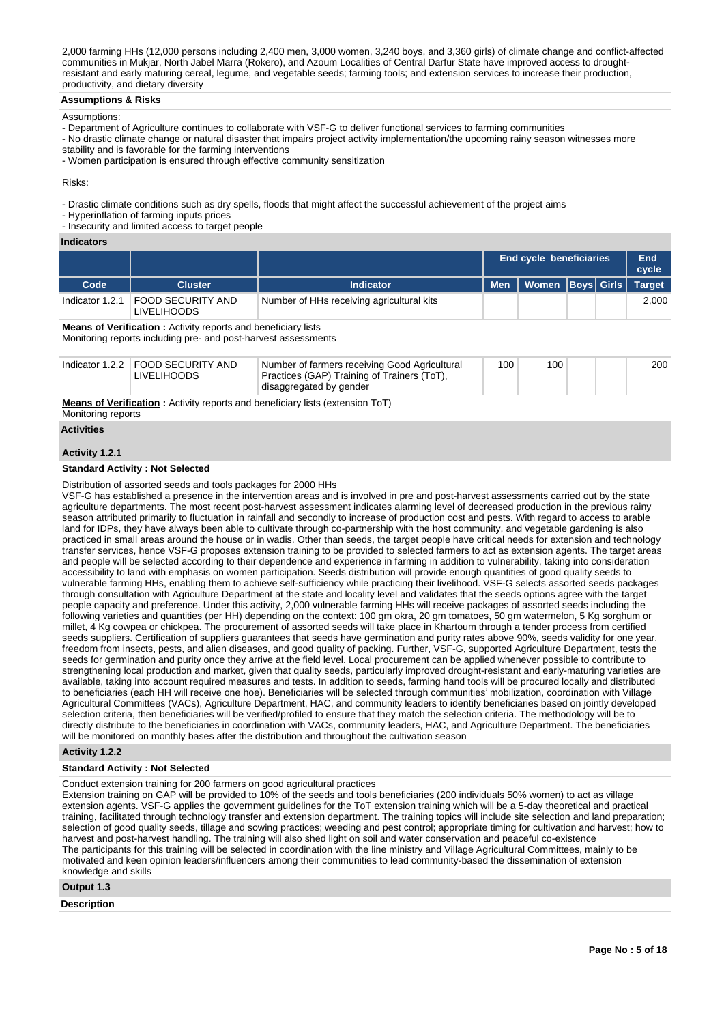2,000 farming HHs (12,000 persons including 2,400 men, 3,000 women, 3,240 boys, and 3,360 girls) of climate change and conflict-affected communities in Mukjar, North Jabel Marra (Rokero), and Azoum Localities of Central Darfur State have improved access to droughtresistant and early maturing cereal, legume, and vegetable seeds; farming tools; and extension services to increase their production, productivity, and dietary diversity

## **Assumptions & Risks**

## Assumptions:

- Department of Agriculture continues to collaborate with VSF-G to deliver functional services to farming communities
- No drastic climate change or natural disaster that impairs project activity implementation/the upcoming rainy season witnesses more
- stability and is favorable for the farming interventions
- Women participation is ensured through effective community sensitization

## Risks:

- Drastic climate conditions such as dry spells, floods that might affect the successful achievement of the project aims
- Hyperinflation of farming inputs prices

- Insecurity and limited access to target people

## **Indicators**

|                                                                                                                                        |                                                                |                                                                                                                                                                                                                                                                                                                                                                                                                                                                                                                                                                                                                                                                                                                                                                                                                                                                                                                                                                                                                                                                                                                                                                                                                                                                                                                                                                                                                                                                                                                                                                                                                                                                                                                                                                                                                                                                                                                                                                                                                                                                                                                                                                                                                                                                                                                                                                                                                                                                                                                                                                                                                                                                                                                                                                                                                                                                                                                                                                                                                                                                                                                                                                                                                                   | End cycle beneficiaries |                      |  |  | <b>End</b><br>cycle |  |  |  |
|----------------------------------------------------------------------------------------------------------------------------------------|----------------------------------------------------------------|-----------------------------------------------------------------------------------------------------------------------------------------------------------------------------------------------------------------------------------------------------------------------------------------------------------------------------------------------------------------------------------------------------------------------------------------------------------------------------------------------------------------------------------------------------------------------------------------------------------------------------------------------------------------------------------------------------------------------------------------------------------------------------------------------------------------------------------------------------------------------------------------------------------------------------------------------------------------------------------------------------------------------------------------------------------------------------------------------------------------------------------------------------------------------------------------------------------------------------------------------------------------------------------------------------------------------------------------------------------------------------------------------------------------------------------------------------------------------------------------------------------------------------------------------------------------------------------------------------------------------------------------------------------------------------------------------------------------------------------------------------------------------------------------------------------------------------------------------------------------------------------------------------------------------------------------------------------------------------------------------------------------------------------------------------------------------------------------------------------------------------------------------------------------------------------------------------------------------------------------------------------------------------------------------------------------------------------------------------------------------------------------------------------------------------------------------------------------------------------------------------------------------------------------------------------------------------------------------------------------------------------------------------------------------------------------------------------------------------------------------------------------------------------------------------------------------------------------------------------------------------------------------------------------------------------------------------------------------------------------------------------------------------------------------------------------------------------------------------------------------------------------------------------------------------------------------------------------------------------|-------------------------|----------------------|--|--|---------------------|--|--|--|
| Code                                                                                                                                   | <b>Cluster</b>                                                 | <b>Indicator</b>                                                                                                                                                                                                                                                                                                                                                                                                                                                                                                                                                                                                                                                                                                                                                                                                                                                                                                                                                                                                                                                                                                                                                                                                                                                                                                                                                                                                                                                                                                                                                                                                                                                                                                                                                                                                                                                                                                                                                                                                                                                                                                                                                                                                                                                                                                                                                                                                                                                                                                                                                                                                                                                                                                                                                                                                                                                                                                                                                                                                                                                                                                                                                                                                                  | <b>Men</b>              | Women   Boys   Girls |  |  | <b>Target</b>       |  |  |  |
| Indicator 1.2.1                                                                                                                        | <b>FOOD SECURITY AND</b><br><b>LIVELIHOODS</b>                 | Number of HHs receiving agricultural kits                                                                                                                                                                                                                                                                                                                                                                                                                                                                                                                                                                                                                                                                                                                                                                                                                                                                                                                                                                                                                                                                                                                                                                                                                                                                                                                                                                                                                                                                                                                                                                                                                                                                                                                                                                                                                                                                                                                                                                                                                                                                                                                                                                                                                                                                                                                                                                                                                                                                                                                                                                                                                                                                                                                                                                                                                                                                                                                                                                                                                                                                                                                                                                                         |                         |                      |  |  | 2,000               |  |  |  |
| <b>Means of Verification:</b> Activity reports and beneficiary lists<br>Monitoring reports including pre- and post-harvest assessments |                                                                |                                                                                                                                                                                                                                                                                                                                                                                                                                                                                                                                                                                                                                                                                                                                                                                                                                                                                                                                                                                                                                                                                                                                                                                                                                                                                                                                                                                                                                                                                                                                                                                                                                                                                                                                                                                                                                                                                                                                                                                                                                                                                                                                                                                                                                                                                                                                                                                                                                                                                                                                                                                                                                                                                                                                                                                                                                                                                                                                                                                                                                                                                                                                                                                                                                   |                         |                      |  |  |                     |  |  |  |
| Indicator 1.2.2                                                                                                                        | <b>FOOD SECURITY AND</b><br><b>LIVELIHOODS</b>                 | Number of farmers receiving Good Agricultural<br>Practices (GAP) Training of Trainers (ToT),<br>disaggregated by gender                                                                                                                                                                                                                                                                                                                                                                                                                                                                                                                                                                                                                                                                                                                                                                                                                                                                                                                                                                                                                                                                                                                                                                                                                                                                                                                                                                                                                                                                                                                                                                                                                                                                                                                                                                                                                                                                                                                                                                                                                                                                                                                                                                                                                                                                                                                                                                                                                                                                                                                                                                                                                                                                                                                                                                                                                                                                                                                                                                                                                                                                                                           | 100                     | 100                  |  |  | 200                 |  |  |  |
| Monitoring reports                                                                                                                     |                                                                | Means of Verification: Activity reports and beneficiary lists (extension ToT)                                                                                                                                                                                                                                                                                                                                                                                                                                                                                                                                                                                                                                                                                                                                                                                                                                                                                                                                                                                                                                                                                                                                                                                                                                                                                                                                                                                                                                                                                                                                                                                                                                                                                                                                                                                                                                                                                                                                                                                                                                                                                                                                                                                                                                                                                                                                                                                                                                                                                                                                                                                                                                                                                                                                                                                                                                                                                                                                                                                                                                                                                                                                                     |                         |                      |  |  |                     |  |  |  |
| <b>Activities</b>                                                                                                                      |                                                                |                                                                                                                                                                                                                                                                                                                                                                                                                                                                                                                                                                                                                                                                                                                                                                                                                                                                                                                                                                                                                                                                                                                                                                                                                                                                                                                                                                                                                                                                                                                                                                                                                                                                                                                                                                                                                                                                                                                                                                                                                                                                                                                                                                                                                                                                                                                                                                                                                                                                                                                                                                                                                                                                                                                                                                                                                                                                                                                                                                                                                                                                                                                                                                                                                                   |                         |                      |  |  |                     |  |  |  |
| Activity 1.2.1                                                                                                                         |                                                                |                                                                                                                                                                                                                                                                                                                                                                                                                                                                                                                                                                                                                                                                                                                                                                                                                                                                                                                                                                                                                                                                                                                                                                                                                                                                                                                                                                                                                                                                                                                                                                                                                                                                                                                                                                                                                                                                                                                                                                                                                                                                                                                                                                                                                                                                                                                                                                                                                                                                                                                                                                                                                                                                                                                                                                                                                                                                                                                                                                                                                                                                                                                                                                                                                                   |                         |                      |  |  |                     |  |  |  |
|                                                                                                                                        | <b>Standard Activity: Not Selected</b>                         |                                                                                                                                                                                                                                                                                                                                                                                                                                                                                                                                                                                                                                                                                                                                                                                                                                                                                                                                                                                                                                                                                                                                                                                                                                                                                                                                                                                                                                                                                                                                                                                                                                                                                                                                                                                                                                                                                                                                                                                                                                                                                                                                                                                                                                                                                                                                                                                                                                                                                                                                                                                                                                                                                                                                                                                                                                                                                                                                                                                                                                                                                                                                                                                                                                   |                         |                      |  |  |                     |  |  |  |
|                                                                                                                                        | Distribution of assorted seeds and tools packages for 2000 HHs | VSF-G has established a presence in the intervention areas and is involved in pre and post-harvest assessments carried out by the state<br>agriculture departments. The most recent post-harvest assessment indicates alarming level of decreased production in the previous rainy<br>season attributed primarily to fluctuation in rainfall and secondly to increase of production cost and pests. With regard to access to arable<br>land for IDPs, they have always been able to cultivate through co-partnership with the host community, and vegetable gardening is also<br>practiced in small areas around the house or in wadis. Other than seeds, the target people have critical needs for extension and technology<br>transfer services, hence VSF-G proposes extension training to be provided to selected farmers to act as extension agents. The target areas<br>and people will be selected according to their dependence and experience in farming in addition to vulnerability, taking into consideration<br>accessibility to land with emphasis on women participation. Seeds distribution will provide enough quantities of good quality seeds to<br>vulnerable farming HHs, enabling them to achieve self-sufficiency while practicing their livelihood. VSF-G selects assorted seeds packages<br>through consultation with Agriculture Department at the state and locality level and validates that the seeds options agree with the target<br>people capacity and preference. Under this activity, 2,000 vulnerable farming HHs will receive packages of assorted seeds including the<br>following varieties and quantities (per HH) depending on the context: 100 gm okra, 20 gm tomatoes, 50 gm watermelon, 5 Kg sorghum or<br>millet, 4 Kg cowpea or chickpea. The procurement of assorted seeds will take place in Khartoum through a tender process from certified<br>seeds suppliers. Certification of suppliers guarantees that seeds have germination and purity rates above 90%, seeds validity for one year,<br>freedom from insects, pests, and alien diseases, and good quality of packing. Further, VSF-G, supported Agriculture Department, tests the<br>seeds for germination and purity once they arrive at the field level. Local procurement can be applied whenever possible to contribute to<br>strengthening local production and market, given that quality seeds, particularly improved drought-resistant and early-maturing varieties are<br>available, taking into account required measures and tests. In addition to seeds, farming hand tools will be procured locally and distributed<br>to beneficiaries (each HH will receive one hoe). Beneficiaries will be selected through communities' mobilization, coordination with Village<br>Agricultural Committees (VACs), Agriculture Department, HAC, and community leaders to identify beneficiaries based on jointly developed<br>selection criteria, then beneficiaries will be verified/profiled to ensure that they match the selection criteria. The methodology will be to<br>directly distribute to the beneficiaries in coordination with VACs, community leaders, HAC, and Agriculture Department. The beneficiaries |                         |                      |  |  |                     |  |  |  |

will be monitored on monthly bases after the distribution and throughout the cultivation season

## **Activity 1.2.2**

## **Standard Activity : Not Selected**

## Conduct extension training for 200 farmers on good agricultural practices

Extension training on GAP will be provided to 10% of the seeds and tools beneficiaries (200 individuals 50% women) to act as village extension agents. VSF-G applies the government guidelines for the ToT extension training which will be a 5-day theoretical and practical training, facilitated through technology transfer and extension department. The training topics will include site selection and land preparation; selection of good quality seeds, tillage and sowing practices; weeding and pest control; appropriate timing for cultivation and harvest; how to harvest and post-harvest handling. The training will also shed light on soil and water conservation and peaceful co-existence The participants for this training will be selected in coordination with the line ministry and Village Agricultural Committees, mainly to be motivated and keen opinion leaders/influencers among their communities to lead community-based the dissemination of extension knowledge and skills

## **Output 1.3**

**Description**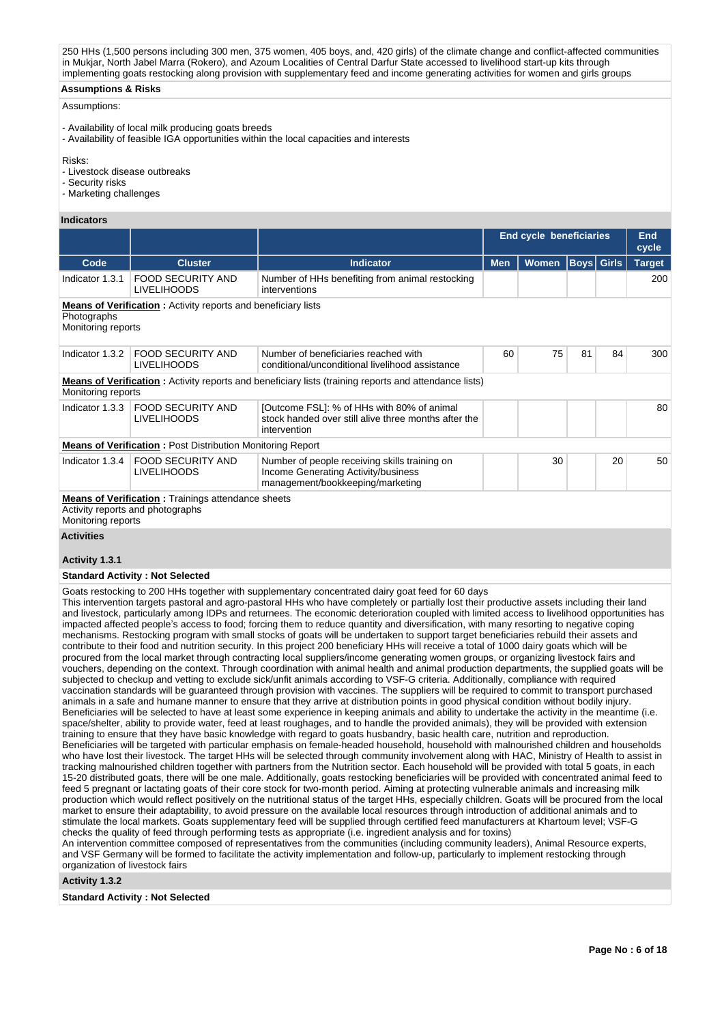250 HHs (1,500 persons including 300 men, 375 women, 405 boys, and, 420 girls) of the climate change and conflict-affected communities in Mukjar, North Jabel Marra (Rokero), and Azoum Localities of Central Darfur State accessed to livelihood start-up kits through implementing goats restocking along provision with supplementary feed and income generating activities for women and girls groups

## **Assumptions & Risks**

## Assumptions:

- Availability of local milk producing goats breeds
- Availability of feasible IGA opportunities within the local capacities and interests

Risks:

- Livestock disease outbreaks
- Security risks
- Marketing challenges

#### **Indicators**

|                                     |                                                                                                |                                                                                                                          | <b>End cycle beneficiaries</b> | End<br>cycle |                   |    |               |
|-------------------------------------|------------------------------------------------------------------------------------------------|--------------------------------------------------------------------------------------------------------------------------|--------------------------------|--------------|-------------------|----|---------------|
| Code                                | <b>Cluster</b>                                                                                 | <b>Indicator</b>                                                                                                         | <b>Men</b>                     | <b>Women</b> | <b>Boys</b> Girls |    | <b>Target</b> |
| Indicator 1.3.1                     | <b>FOOD SECURITY AND</b><br><b>LIVELIHOODS</b>                                                 | Number of HHs benefiting from animal restocking<br>interventions                                                         |                                |              |                   |    | 200           |
| Photographs<br>Monitoring reports   | <b>Means of Verification</b> : Activity reports and beneficiary lists                          |                                                                                                                          |                                |              |                   |    |               |
| Indicator 1.3.2                     | <b>FOOD SECURITY AND</b><br><b>LIVELIHOODS</b>                                                 | Number of beneficiaries reached with<br>conditional/unconditional livelihood assistance                                  | 60                             | 75           | 81                | 84 | 300           |
| Monitoring reports                  |                                                                                                | <b>Means of Verification</b> : Activity reports and beneficiary lists (training reports and attendance lists)            |                                |              |                   |    |               |
| Indicator 1.3.3                     | <b>FOOD SECURITY AND</b><br><b>LIVELIHOODS</b>                                                 | [Outcome FSL]: % of HHs with 80% of animal<br>stock handed over still alive three months after the<br>intervention       |                                |              |                   |    | 80            |
|                                     | <b>Means of Verification: Post Distribution Monitoring Report</b>                              |                                                                                                                          |                                |              |                   |    |               |
| Indicator 1.3.4                     | <b>FOOD SECURITY AND</b><br><b>LIVELIHOODS</b>                                                 | Number of people receiving skills training on<br>Income Generating Activity/business<br>management/bookkeeping/marketing |                                | 30           |                   | 20 | 50            |
| Monitoring reports                  | <b>Means of Verification</b> : Trainings attendance sheets<br>Activity reports and photographs |                                                                                                                          |                                |              |                   |    |               |
| <b>Activities</b><br>Activity 1.3.1 |                                                                                                |                                                                                                                          |                                |              |                   |    |               |

# **Standard Activity : Not Selected**

Goats restocking to 200 HHs together with supplementary concentrated dairy goat feed for 60 days

This intervention targets pastoral and agro-pastoral HHs who have completely or partially lost their productive assets including their land and livestock, particularly among IDPs and returnees. The economic deterioration coupled with limited access to livelihood opportunities has impacted affected people's access to food; forcing them to reduce quantity and diversification, with many resorting to negative coping mechanisms. Restocking program with small stocks of goats will be undertaken to support target beneficiaries rebuild their assets and contribute to their food and nutrition security. In this project 200 beneficiary HHs will receive a total of 1000 dairy goats which will be procured from the local market through contracting local suppliers/income generating women groups, or organizing livestock fairs and vouchers, depending on the context. Through coordination with animal health and animal production departments, the supplied goats will be subjected to checkup and vetting to exclude sick/unfit animals according to VSF-G criteria. Additionally, compliance with required vaccination standards will be guaranteed through provision with vaccines. The suppliers will be required to commit to transport purchased animals in a safe and humane manner to ensure that they arrive at distribution points in good physical condition without bodily injury. Beneficiaries will be selected to have at least some experience in keeping animals and ability to undertake the activity in the meantime (i.e. space/shelter, ability to provide water, feed at least roughages, and to handle the provided animals), they will be provided with extension training to ensure that they have basic knowledge with regard to goats husbandry, basic health care, nutrition and reproduction. Beneficiaries will be targeted with particular emphasis on female-headed household, household with malnourished children and households who have lost their livestock. The target HHs will be selected through community involvement along with HAC, Ministry of Health to assist in tracking malnourished children together with partners from the Nutrition sector. Each household will be provided with total 5 goats, in each 15-20 distributed goats, there will be one male. Additionally, goats restocking beneficiaries will be provided with concentrated animal feed to feed 5 pregnant or lactating goats of their core stock for two-month period. Aiming at protecting vulnerable animals and increasing milk production which would reflect positively on the nutritional status of the target HHs, especially children. Goats will be procured from the local market to ensure their adaptability, to avoid pressure on the available local resources through introduction of additional animals and to stimulate the local markets. Goats supplementary feed will be supplied through certified feed manufacturers at Khartoum level; VSF-G checks the quality of feed through performing tests as appropriate (i.e. ingredient analysis and for toxins) An intervention committee composed of representatives from the communities (including community leaders), Animal Resource experts,

and VSF Germany will be formed to facilitate the activity implementation and follow-up, particularly to implement restocking through organization of livestock fairs

#### **Activity 1.3.2**

**Standard Activity : Not Selected**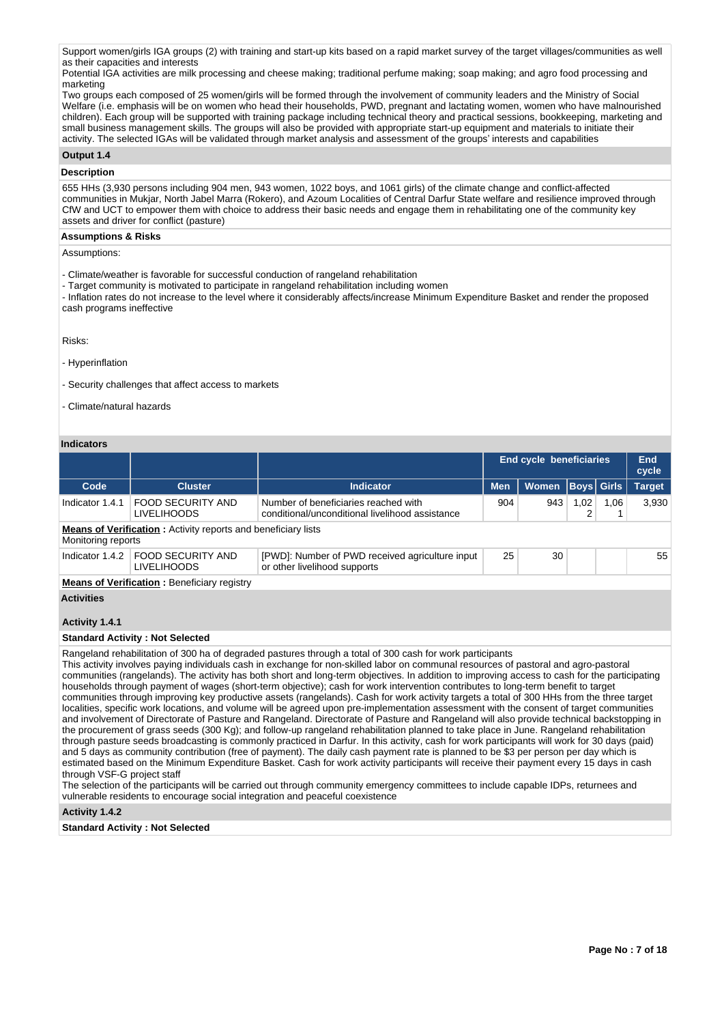Support women/girls IGA groups (2) with training and start-up kits based on a rapid market survey of the target villages/communities as well as their capacities and interests

Potential IGA activities are milk processing and cheese making; traditional perfume making; soap making; and agro food processing and marketing

Two groups each composed of 25 women/girls will be formed through the involvement of community leaders and the Ministry of Social Welfare (i.e. emphasis will be on women who head their households, PWD, pregnant and lactating women, women who have malnourished children). Each group will be supported with training package including technical theory and practical sessions, bookkeeping, marketing and small business management skills. The groups will also be provided with appropriate start-up equipment and materials to initiate their activity. The selected IGAs will be validated through market analysis and assessment of the groups' interests and capabilities

## **Output 1.4**

## **Description**

655 HHs (3,930 persons including 904 men, 943 women, 1022 boys, and 1061 girls) of the climate change and conflict-affected communities in Mukjar, North Jabel Marra (Rokero), and Azoum Localities of Central Darfur State welfare and resilience improved through CfW and UCT to empower them with choice to address their basic needs and engage them in rehabilitating one of the community key assets and driver for conflict (pasture)

## **Assumptions & Risks**

Assumptions:

- Climate/weather is favorable for successful conduction of rangeland rehabilitation
- Target community is motivated to participate in rangeland rehabilitation including women

- Inflation rates do not increase to the level where it considerably affects/increase Minimum Expenditure Basket and render the proposed cash programs ineffective

Risks:

- Hyperinflation

- Security challenges that affect access to markets

- Climate/natural hazards

## **Indicators**

| iliulualui 5                                                                               |                                                    |                                                                                         |                                |              |                   |      |                     |  |  |  |  |  |
|--------------------------------------------------------------------------------------------|----------------------------------------------------|-----------------------------------------------------------------------------------------|--------------------------------|--------------|-------------------|------|---------------------|--|--|--|--|--|
|                                                                                            |                                                    |                                                                                         | <b>End cycle beneficiaries</b> |              |                   |      | <b>End</b><br>cycle |  |  |  |  |  |
| Code                                                                                       | <b>Cluster</b>                                     | <b>Indicator</b>                                                                        | <b>Men</b>                     | <b>Women</b> | <b>Boys Girls</b> |      | <b>Target</b>       |  |  |  |  |  |
| Indicator 1.4.1                                                                            | <b>FOOD SECURITY AND</b><br><b>LIVELIHOODS</b>     | Number of beneficiaries reached with<br>conditional/unconditional livelihood assistance | 904                            | 943          | 1,02<br>2         | 1,06 | 3,930               |  |  |  |  |  |
| <b>Means of Verification:</b> Activity reports and beneficiary lists<br>Monitoring reports |                                                    |                                                                                         |                                |              |                   |      |                     |  |  |  |  |  |
| Indicator 1.4.2                                                                            | <b>FOOD SECURITY AND</b><br><b>LIVELIHOODS</b>     | [PWD]: Number of PWD received agriculture input<br>or other livelihood supports         | 25                             | 30           |                   |      | 55                  |  |  |  |  |  |
|                                                                                            | <b>Means of Verification:</b> Beneficiary registry |                                                                                         |                                |              |                   |      |                     |  |  |  |  |  |
| <b>Activities</b>                                                                          |                                                    |                                                                                         |                                |              |                   |      |                     |  |  |  |  |  |
| Activity 1.4.1                                                                             |                                                    |                                                                                         |                                |              |                   |      |                     |  |  |  |  |  |
|                                                                                            | <b>Standard Activity: Not Selected</b>             |                                                                                         |                                |              |                   |      |                     |  |  |  |  |  |

Rangeland rehabilitation of 300 ha of degraded pastures through a total of 300 cash for work participants

This activity involves paying individuals cash in exchange for non-skilled labor on communal resources of pastoral and agro-pastoral communities (rangelands). The activity has both short and long-term objectives. In addition to improving access to cash for the participating households through payment of wages (short-term objective); cash for work intervention contributes to long-term benefit to target communities through improving key productive assets (rangelands). Cash for work activity targets a total of 300 HHs from the three target localities, specific work locations, and volume will be agreed upon pre-implementation assessment with the consent of target communities and involvement of Directorate of Pasture and Rangeland. Directorate of Pasture and Rangeland will also provide technical backstopping in the procurement of grass seeds (300 Kg); and follow-up rangeland rehabilitation planned to take place in June. Rangeland rehabilitation through pasture seeds broadcasting is commonly practiced in Darfur. In this activity, cash for work participants will work for 30 days (paid) and 5 days as community contribution (free of payment). The daily cash payment rate is planned to be \$3 per person per day which is estimated based on the Minimum Expenditure Basket. Cash for work activity participants will receive their payment every 15 days in cash through VSF-G project staff

The selection of the participants will be carried out through community emergency committees to include capable IDPs, returnees and vulnerable residents to encourage social integration and peaceful coexistence

**Activity 1.4.2** 

**Standard Activity : Not Selected**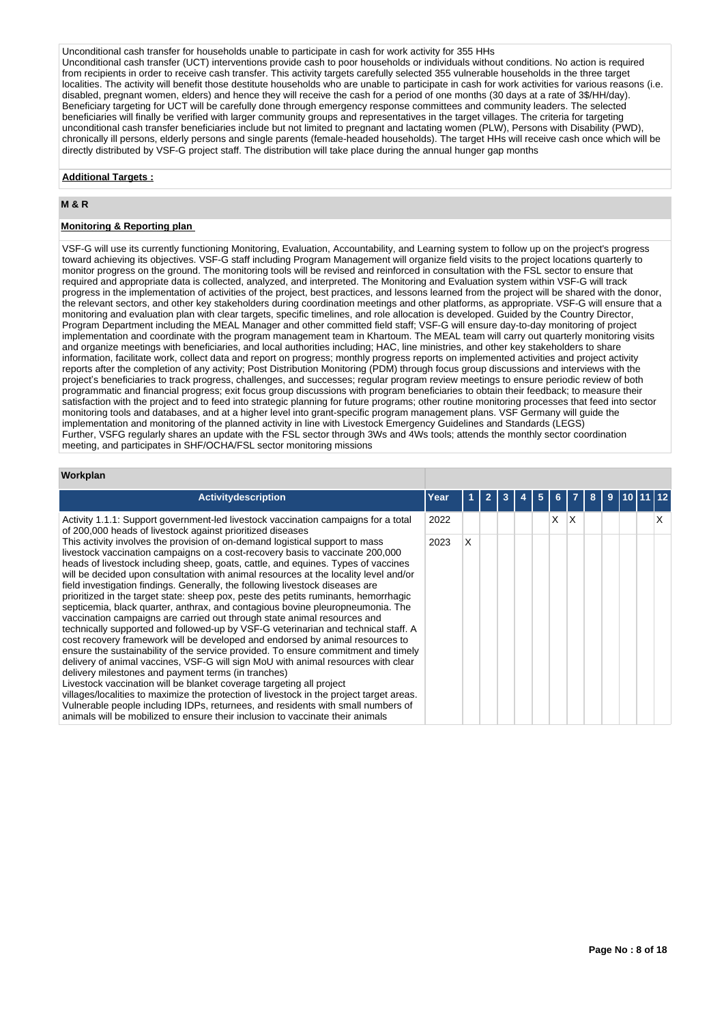Unconditional cash transfer for households unable to participate in cash for work activity for 355 HHs Unconditional cash transfer (UCT) interventions provide cash to poor households or individuals without conditions. No action is required from recipients in order to receive cash transfer. This activity targets carefully selected 355 vulnerable households in the three target localities. The activity will benefit those destitute households who are unable to participate in cash for work activities for various reasons (i.e. disabled, pregnant women, elders) and hence they will receive the cash for a period of one months (30 days at a rate of 3\$/HH/day). Beneficiary targeting for UCT will be carefully done through emergency response committees and community leaders. The selected beneficiaries will finally be verified with larger community groups and representatives in the target villages. The criteria for targeting unconditional cash transfer beneficiaries include but not limited to pregnant and lactating women (PLW), Persons with Disability (PWD), chronically ill persons, elderly persons and single parents (female-headed households). The target HHs will receive cash once which will be directly distributed by VSF-G project staff. The distribution will take place during the annual hunger gap months

### **Additional Targets :**

## **M & R**

## **Monitoring & Reporting plan**

VSF-G will use its currently functioning Monitoring, Evaluation, Accountability, and Learning system to follow up on the project's progress toward achieving its objectives. VSF-G staff including Program Management will organize field visits to the project locations quarterly to monitor progress on the ground. The monitoring tools will be revised and reinforced in consultation with the FSL sector to ensure that required and appropriate data is collected, analyzed, and interpreted. The Monitoring and Evaluation system within VSF-G will track progress in the implementation of activities of the project, best practices, and lessons learned from the project will be shared with the donor, the relevant sectors, and other key stakeholders during coordination meetings and other platforms, as appropriate. VSF-G will ensure that a monitoring and evaluation plan with clear targets, specific timelines, and role allocation is developed. Guided by the Country Director, Program Department including the MEAL Manager and other committed field staff; VSF-G will ensure day-to-day monitoring of project implementation and coordinate with the program management team in Khartoum. The MEAL team will carry out quarterly monitoring visits and organize meetings with beneficiaries, and local authorities including; HAC, line ministries, and other key stakeholders to share information, facilitate work, collect data and report on progress; monthly progress reports on implemented activities and project activity reports after the completion of any activity; Post Distribution Monitoring (PDM) through focus group discussions and interviews with the project's beneficiaries to track progress, challenges, and successes; regular program review meetings to ensure periodic review of both programmatic and financial progress; exit focus group discussions with program beneficiaries to obtain their feedback; to measure their satisfaction with the project and to feed into strategic planning for future programs; other routine monitoring processes that feed into sector monitoring tools and databases, and at a higher level into grant-specific program management plans. VSF Germany will guide the implementation and monitoring of the planned activity in line with Livestock Emergency Guidelines and Standards (LEGS) Further, VSFG regularly shares an update with the FSL sector through 3Ws and 4Ws tools; attends the monthly sector coordination meeting, and participates in SHF/OCHA/FSL sector monitoring missions

#### **Workplan**

| Activitydescription                                                                                                                                                                                                                                                                                                                                                                                                                                                                                                                                                                                                                                                                                                                                                                                                                                                                                                                                                                                                                                                                                                                                                                                                                                                                                                                                                                                                                 | Year |   | 3 | 5 |   |    |  |  |  |
|-------------------------------------------------------------------------------------------------------------------------------------------------------------------------------------------------------------------------------------------------------------------------------------------------------------------------------------------------------------------------------------------------------------------------------------------------------------------------------------------------------------------------------------------------------------------------------------------------------------------------------------------------------------------------------------------------------------------------------------------------------------------------------------------------------------------------------------------------------------------------------------------------------------------------------------------------------------------------------------------------------------------------------------------------------------------------------------------------------------------------------------------------------------------------------------------------------------------------------------------------------------------------------------------------------------------------------------------------------------------------------------------------------------------------------------|------|---|---|---|---|----|--|--|--|
| Activity 1.1.1: Support government-led livestock vaccination campaigns for a total<br>of 200,000 heads of livestock against prioritized diseases                                                                                                                                                                                                                                                                                                                                                                                                                                                                                                                                                                                                                                                                                                                                                                                                                                                                                                                                                                                                                                                                                                                                                                                                                                                                                    | 2022 |   |   |   | X | ΙX |  |  |  |
| This activity involves the provision of on-demand logistical support to mass<br>livestock vaccination campaigns on a cost-recovery basis to vaccinate 200,000<br>heads of livestock including sheep, goats, cattle, and equines. Types of vaccines<br>will be decided upon consultation with animal resources at the locality level and/or<br>field investigation findings. Generally, the following livestock diseases are<br>prioritized in the target state: sheep pox, peste des petits ruminants, hemorrhagic<br>septicemia, black quarter, anthrax, and contagious bovine pleuropneumonia. The<br>vaccination campaigns are carried out through state animal resources and<br>technically supported and followed-up by VSF-G veterinarian and technical staff. A<br>cost recovery framework will be developed and endorsed by animal resources to<br>ensure the sustainability of the service provided. To ensure commitment and timely<br>delivery of animal vaccines, VSF-G will sign MoU with animal resources with clear<br>delivery milestones and payment terms (in tranches)<br>Livestock vaccination will be blanket coverage targeting all project<br>villages/localities to maximize the protection of livestock in the project target areas.<br>Vulnerable people including IDPs, returnees, and residents with small numbers of<br>animals will be mobilized to ensure their inclusion to vaccinate their animals | 2023 | X |   |   |   |    |  |  |  |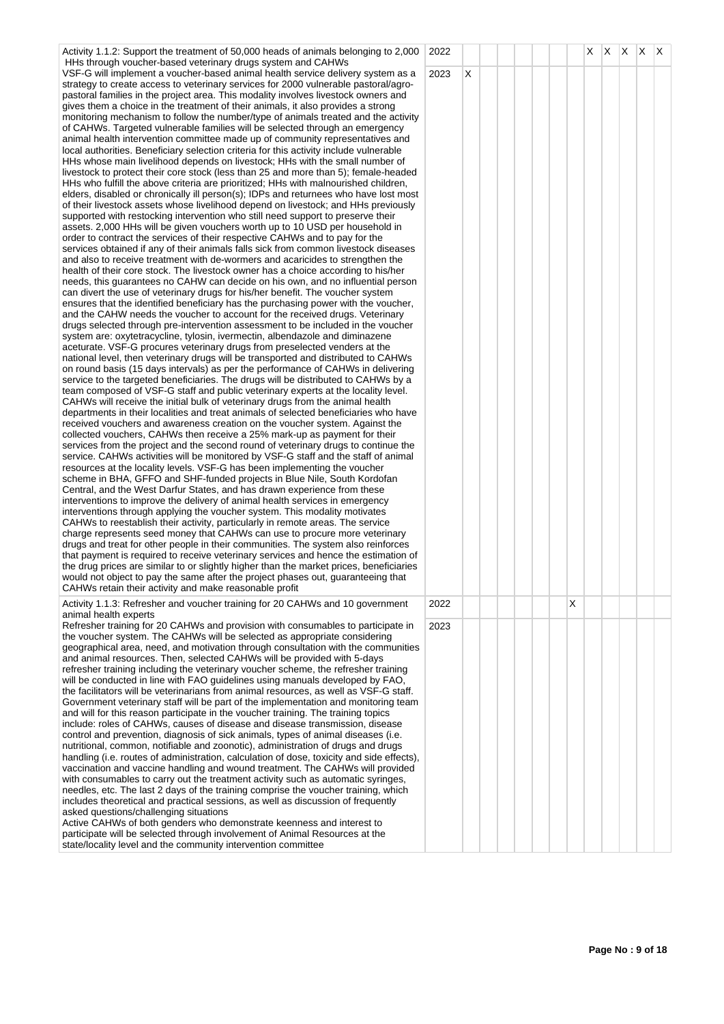| Activity 1.1.2: Support the treatment of 50,000 heads of animals belonging to 2,000<br>HHs through voucher-based veterinary drugs system and CAHWs                                                                                                                                                                                                                                                                                                                                                                                                                                                                                                                                                                                                                                                                                                                                                                                                                                                                                                                                                                                                                                                                                                                                                                                                                                                                                                                                                                                                                                                                                                                                                                                                                                                                                                                                                                                                                                                                                                                                                                                                                                                                                                                                                                                                                                                                                                                                                                                                                                                                                                                                                                                                                                                                                                                                                                                                                                                                                                                                                                                                                                                                                                                                                                                                                                                                                                                                                                                                                                                                                                                                                                                                                                                                                                                                                                                                                                                                                                                                                                        | 2022 |   |  |  |   | $X$ $X$ $X$ $X$ |  |  |
|---------------------------------------------------------------------------------------------------------------------------------------------------------------------------------------------------------------------------------------------------------------------------------------------------------------------------------------------------------------------------------------------------------------------------------------------------------------------------------------------------------------------------------------------------------------------------------------------------------------------------------------------------------------------------------------------------------------------------------------------------------------------------------------------------------------------------------------------------------------------------------------------------------------------------------------------------------------------------------------------------------------------------------------------------------------------------------------------------------------------------------------------------------------------------------------------------------------------------------------------------------------------------------------------------------------------------------------------------------------------------------------------------------------------------------------------------------------------------------------------------------------------------------------------------------------------------------------------------------------------------------------------------------------------------------------------------------------------------------------------------------------------------------------------------------------------------------------------------------------------------------------------------------------------------------------------------------------------------------------------------------------------------------------------------------------------------------------------------------------------------------------------------------------------------------------------------------------------------------------------------------------------------------------------------------------------------------------------------------------------------------------------------------------------------------------------------------------------------------------------------------------------------------------------------------------------------------------------------------------------------------------------------------------------------------------------------------------------------------------------------------------------------------------------------------------------------------------------------------------------------------------------------------------------------------------------------------------------------------------------------------------------------------------------------------------------------------------------------------------------------------------------------------------------------------------------------------------------------------------------------------------------------------------------------------------------------------------------------------------------------------------------------------------------------------------------------------------------------------------------------------------------------------------------------------------------------------------------------------------------------------------------------------------------------------------------------------------------------------------------------------------------------------------------------------------------------------------------------------------------------------------------------------------------------------------------------------------------------------------------------------------------------------------------------------------------------------------------------------------------------|------|---|--|--|---|-----------------|--|--|
| VSF-G will implement a voucher-based animal health service delivery system as a<br>strategy to create access to veterinary services for 2000 vulnerable pastoral/agro-<br>pastoral families in the project area. This modality involves livestock owners and<br>gives them a choice in the treatment of their animals, it also provides a strong<br>monitoring mechanism to follow the number/type of animals treated and the activity<br>of CAHWs. Targeted vulnerable families will be selected through an emergency<br>animal health intervention committee made up of community representatives and<br>local authorities. Beneficiary selection criteria for this activity include vulnerable<br>HHs whose main livelihood depends on livestock; HHs with the small number of<br>livestock to protect their core stock (less than 25 and more than 5); female-headed<br>HHs who fulfill the above criteria are prioritized; HHs with malnourished children,<br>elders, disabled or chronically ill person(s); IDPs and returnees who have lost most<br>of their livestock assets whose livelihood depend on livestock; and HHs previously<br>supported with restocking intervention who still need support to preserve their<br>assets. 2,000 HHs will be given vouchers worth up to 10 USD per household in<br>order to contract the services of their respective CAHWs and to pay for the<br>services obtained if any of their animals falls sick from common livestock diseases<br>and also to receive treatment with de-wormers and acaricides to strengthen the<br>health of their core stock. The livestock owner has a choice according to his/her<br>needs, this guarantees no CAHW can decide on his own, and no influential person<br>can divert the use of veterinary drugs for his/her benefit. The voucher system<br>ensures that the identified beneficiary has the purchasing power with the voucher,<br>and the CAHW needs the voucher to account for the received drugs. Veterinary<br>drugs selected through pre-intervention assessment to be included in the voucher<br>system are: oxytetracycline, tylosin, ivermectin, albendazole and diminazene<br>aceturate. VSF-G procures veterinary drugs from preselected venders at the<br>national level, then veterinary drugs will be transported and distributed to CAHWs<br>on round basis (15 days intervals) as per the performance of CAHWs in delivering<br>service to the targeted beneficiaries. The drugs will be distributed to CAHWs by a<br>team composed of VSF-G staff and public veterinary experts at the locality level.<br>CAHWs will receive the initial bulk of veterinary drugs from the animal health<br>departments in their localities and treat animals of selected beneficiaries who have<br>received vouchers and awareness creation on the voucher system. Against the<br>collected vouchers, CAHWs then receive a 25% mark-up as payment for their<br>services from the project and the second round of veterinary drugs to continue the<br>service. CAHWs activities will be monitored by VSF-G staff and the staff of animal<br>resources at the locality levels. VSF-G has been implementing the voucher<br>scheme in BHA, GFFO and SHF-funded projects in Blue Nile, South Kordofan<br>Central, and the West Darfur States, and has drawn experience from these<br>interventions to improve the delivery of animal health services in emergency<br>interventions through applying the voucher system. This modality motivates<br>CAHWs to reestablish their activity, particularly in remote areas. The service<br>charge represents seed money that CAHWs can use to procure more veterinary<br>drugs and treat for other people in their communities. The system also reinforces<br>that payment is required to receive veterinary services and hence the estimation of<br>the drug prices are similar to or slightly higher than the market prices, beneficiaries<br>would not object to pay the same after the project phases out, guaranteeing that<br>CAHWs retain their activity and make reasonable profit | 2023 | Χ |  |  |   |                 |  |  |
| Activity 1.1.3: Refresher and voucher training for 20 CAHWs and 10 government<br>animal health experts                                                                                                                                                                                                                                                                                                                                                                                                                                                                                                                                                                                                                                                                                                                                                                                                                                                                                                                                                                                                                                                                                                                                                                                                                                                                                                                                                                                                                                                                                                                                                                                                                                                                                                                                                                                                                                                                                                                                                                                                                                                                                                                                                                                                                                                                                                                                                                                                                                                                                                                                                                                                                                                                                                                                                                                                                                                                                                                                                                                                                                                                                                                                                                                                                                                                                                                                                                                                                                                                                                                                                                                                                                                                                                                                                                                                                                                                                                                                                                                                                    | 2022 |   |  |  | X |                 |  |  |
| Refresher training for 20 CAHWs and provision with consumables to participate in<br>the voucher system. The CAHWs will be selected as appropriate considering<br>geographical area, need, and motivation through consultation with the communities<br>and animal resources. Then, selected CAHWs will be provided with 5-days<br>refresher training including the veterinary voucher scheme, the refresher training<br>will be conducted in line with FAO guidelines using manuals developed by FAO,<br>the facilitators will be veterinarians from animal resources, as well as VSF-G staff.<br>Government veterinary staff will be part of the implementation and monitoring team<br>and will for this reason participate in the voucher training. The training topics<br>include: roles of CAHWs, causes of disease and disease transmission, disease<br>control and prevention, diagnosis of sick animals, types of animal diseases (i.e.<br>nutritional, common, notifiable and zoonotic), administration of drugs and drugs<br>handling (i.e. routes of administration, calculation of dose, toxicity and side effects),<br>vaccination and vaccine handling and wound treatment. The CAHWs will provided<br>with consumables to carry out the treatment activity such as automatic syringes,<br>needles, etc. The last 2 days of the training comprise the voucher training, which<br>includes theoretical and practical sessions, as well as discussion of frequently<br>asked questions/challenging situations<br>Active CAHWs of both genders who demonstrate keenness and interest to<br>participate will be selected through involvement of Animal Resources at the<br>state/locality level and the community intervention committee                                                                                                                                                                                                                                                                                                                                                                                                                                                                                                                                                                                                                                                                                                                                                                                                                                                                                                                                                                                                                                                                                                                                                                                                                                                                                                                                                                                                                                                                                                                                                                                                                                                                                                                                                                                                                                                                                                                                                                                                                                                                                                                                                                                                                                                                                                                                                                          | 2023 |   |  |  |   |                 |  |  |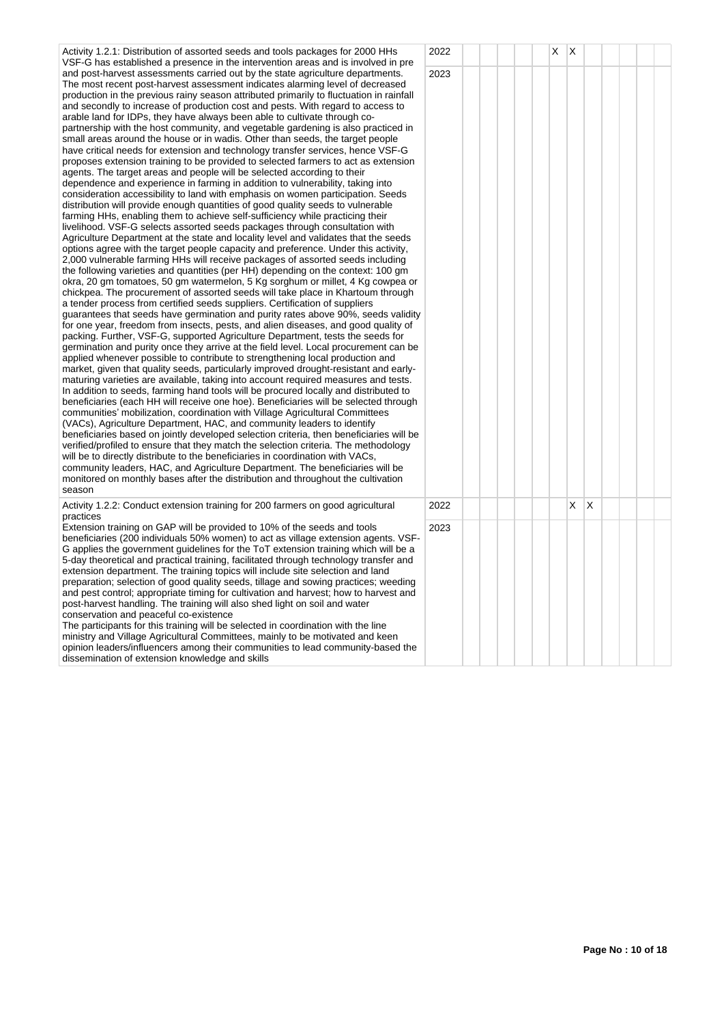| Activity 1.2.1: Distribution of assorted seeds and tools packages for 2000 HHs<br>VSF-G has established a presence in the intervention areas and is involved in pre                                                                                                                                                                                                                                                                                                                                                                                                                                                                                                                                                                                                                                                                                                                                                                                                                                                                                                                                                                                                                                                                                                                                                                                                                                                                                                                                                                                                                                                                                                                                                                                                                                                                                                                                                                                                                                                                                                                                                                                                                                                                                                                                                                                                                                                                                                                                                                                                                                                                                                                                                                                                                                                                                                                                                                                                                                                                                                                                                                                                                                                                                                                                                                                                                     | 2022         |  |  | X | $\mathsf{X}$ |              |  |  |
|-----------------------------------------------------------------------------------------------------------------------------------------------------------------------------------------------------------------------------------------------------------------------------------------------------------------------------------------------------------------------------------------------------------------------------------------------------------------------------------------------------------------------------------------------------------------------------------------------------------------------------------------------------------------------------------------------------------------------------------------------------------------------------------------------------------------------------------------------------------------------------------------------------------------------------------------------------------------------------------------------------------------------------------------------------------------------------------------------------------------------------------------------------------------------------------------------------------------------------------------------------------------------------------------------------------------------------------------------------------------------------------------------------------------------------------------------------------------------------------------------------------------------------------------------------------------------------------------------------------------------------------------------------------------------------------------------------------------------------------------------------------------------------------------------------------------------------------------------------------------------------------------------------------------------------------------------------------------------------------------------------------------------------------------------------------------------------------------------------------------------------------------------------------------------------------------------------------------------------------------------------------------------------------------------------------------------------------------------------------------------------------------------------------------------------------------------------------------------------------------------------------------------------------------------------------------------------------------------------------------------------------------------------------------------------------------------------------------------------------------------------------------------------------------------------------------------------------------------------------------------------------------------------------------------------------------------------------------------------------------------------------------------------------------------------------------------------------------------------------------------------------------------------------------------------------------------------------------------------------------------------------------------------------------------------------------------------------------------------------------------------------------|--------------|--|--|---|--------------|--------------|--|--|
| and post-harvest assessments carried out by the state agriculture departments.<br>The most recent post-harvest assessment indicates alarming level of decreased<br>production in the previous rainy season attributed primarily to fluctuation in rainfall<br>and secondly to increase of production cost and pests. With regard to access to<br>arable land for IDPs, they have always been able to cultivate through co-<br>partnership with the host community, and vegetable gardening is also practiced in<br>small areas around the house or in wadis. Other than seeds, the target people<br>have critical needs for extension and technology transfer services, hence VSF-G<br>proposes extension training to be provided to selected farmers to act as extension<br>agents. The target areas and people will be selected according to their<br>dependence and experience in farming in addition to vulnerability, taking into<br>consideration accessibility to land with emphasis on women participation. Seeds<br>distribution will provide enough quantities of good quality seeds to vulnerable<br>farming HHs, enabling them to achieve self-sufficiency while practicing their<br>livelihood. VSF-G selects assorted seeds packages through consultation with<br>Agriculture Department at the state and locality level and validates that the seeds<br>options agree with the target people capacity and preference. Under this activity,<br>2,000 vulnerable farming HHs will receive packages of assorted seeds including<br>the following varieties and quantities (per HH) depending on the context: 100 gm<br>okra, 20 gm tomatoes, 50 gm watermelon, 5 Kg sorghum or millet, 4 Kg cowpea or<br>chickpea. The procurement of assorted seeds will take place in Khartoum through<br>a tender process from certified seeds suppliers. Certification of suppliers<br>guarantees that seeds have germination and purity rates above 90%, seeds validity<br>for one year, freedom from insects, pests, and alien diseases, and good quality of<br>packing. Further, VSF-G, supported Agriculture Department, tests the seeds for<br>germination and purity once they arrive at the field level. Local procurement can be<br>applied whenever possible to contribute to strengthening local production and<br>market, given that quality seeds, particularly improved drought-resistant and early-<br>maturing varieties are available, taking into account required measures and tests.<br>In addition to seeds, farming hand tools will be procured locally and distributed to<br>beneficiaries (each HH will receive one hoe). Beneficiaries will be selected through<br>communities' mobilization, coordination with Village Agricultural Committees<br>(VACs), Agriculture Department, HAC, and community leaders to identify<br>beneficiaries based on jointly developed selection criteria, then beneficiaries will be<br>verified/profiled to ensure that they match the selection criteria. The methodology<br>will be to directly distribute to the beneficiaries in coordination with VACs,<br>community leaders, HAC, and Agriculture Department. The beneficiaries will be<br>monitored on monthly bases after the distribution and throughout the cultivation<br>season<br>Activity 1.2.2: Conduct extension training for 200 farmers on good agricultural | 2023<br>2022 |  |  |   | X.           | $\mathsf{X}$ |  |  |
| practices                                                                                                                                                                                                                                                                                                                                                                                                                                                                                                                                                                                                                                                                                                                                                                                                                                                                                                                                                                                                                                                                                                                                                                                                                                                                                                                                                                                                                                                                                                                                                                                                                                                                                                                                                                                                                                                                                                                                                                                                                                                                                                                                                                                                                                                                                                                                                                                                                                                                                                                                                                                                                                                                                                                                                                                                                                                                                                                                                                                                                                                                                                                                                                                                                                                                                                                                                                               |              |  |  |   |              |              |  |  |
| Extension training on GAP will be provided to 10% of the seeds and tools<br>beneficiaries (200 individuals 50% women) to act as village extension agents. VSF-<br>G applies the government guidelines for the ToT extension training which will be a<br>5-day theoretical and practical training, facilitated through technology transfer and<br>extension department. The training topics will include site selection and land<br>preparation; selection of good quality seeds, tillage and sowing practices; weeding<br>and pest control; appropriate timing for cultivation and harvest; how to harvest and                                                                                                                                                                                                                                                                                                                                                                                                                                                                                                                                                                                                                                                                                                                                                                                                                                                                                                                                                                                                                                                                                                                                                                                                                                                                                                                                                                                                                                                                                                                                                                                                                                                                                                                                                                                                                                                                                                                                                                                                                                                                                                                                                                                                                                                                                                                                                                                                                                                                                                                                                                                                                                                                                                                                                                          | 2023         |  |  |   |              |              |  |  |

conservation and peaceful co-existence The participants for this training will be selected in coordination with the line ministry and Village Agricultural Committees, mainly to be motivated and keen opinion leaders/influencers among their communities to lead community-based the

post-harvest handling. The training will also shed light on soil and water

dissemination of extension knowledge and skills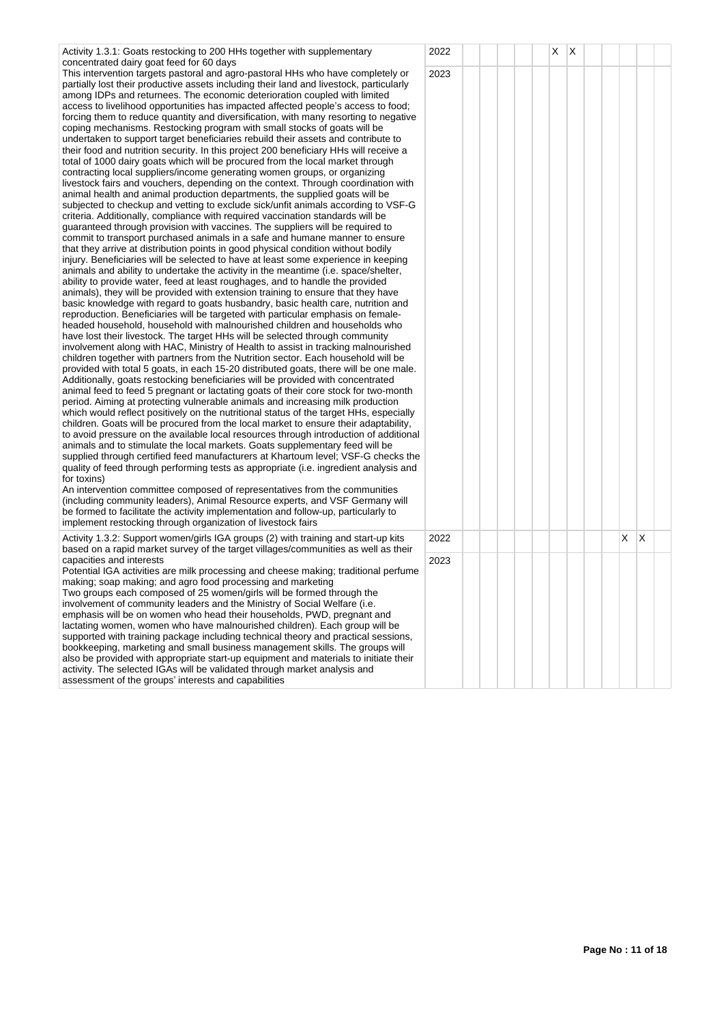| Activity 1.3.1: Goats restocking to 200 HHs together with supplementary<br>concentrated dairy goat feed for 60 days                                                                                                                                                                                                                                                                                                                                                                                                                                                                                                                                                                                                                                                                                                                                                                                                                                                                                                                                                                                                                                                                                                                                                                                                                                                                                                                                                                                                                                                                                                                                                                                                                                                                                                                                                                                                                                                                                                                                                                                                                                                                                                                                                                                                                                                                                                                                                                                                                                                                                                                                                                                                                                                                                                                                                                                                                                                                                                                                                                                                                                                                                                                                                                                                                                                                                                                                                                                                                                            | 2022 |  | Χ | X |  |    |   |  |
|----------------------------------------------------------------------------------------------------------------------------------------------------------------------------------------------------------------------------------------------------------------------------------------------------------------------------------------------------------------------------------------------------------------------------------------------------------------------------------------------------------------------------------------------------------------------------------------------------------------------------------------------------------------------------------------------------------------------------------------------------------------------------------------------------------------------------------------------------------------------------------------------------------------------------------------------------------------------------------------------------------------------------------------------------------------------------------------------------------------------------------------------------------------------------------------------------------------------------------------------------------------------------------------------------------------------------------------------------------------------------------------------------------------------------------------------------------------------------------------------------------------------------------------------------------------------------------------------------------------------------------------------------------------------------------------------------------------------------------------------------------------------------------------------------------------------------------------------------------------------------------------------------------------------------------------------------------------------------------------------------------------------------------------------------------------------------------------------------------------------------------------------------------------------------------------------------------------------------------------------------------------------------------------------------------------------------------------------------------------------------------------------------------------------------------------------------------------------------------------------------------------------------------------------------------------------------------------------------------------------------------------------------------------------------------------------------------------------------------------------------------------------------------------------------------------------------------------------------------------------------------------------------------------------------------------------------------------------------------------------------------------------------------------------------------------------------------------------------------------------------------------------------------------------------------------------------------------------------------------------------------------------------------------------------------------------------------------------------------------------------------------------------------------------------------------------------------------------------------------------------------------------------------------------------------------|------|--|---|---|--|----|---|--|
| This intervention targets pastoral and agro-pastoral HHs who have completely or<br>partially lost their productive assets including their land and livestock, particularly<br>among IDPs and returnees. The economic deterioration coupled with limited<br>access to livelihood opportunities has impacted affected people's access to food;<br>forcing them to reduce quantity and diversification, with many resorting to negative<br>coping mechanisms. Restocking program with small stocks of goats will be<br>undertaken to support target beneficiaries rebuild their assets and contribute to<br>their food and nutrition security. In this project 200 beneficiary HHs will receive a<br>total of 1000 dairy goats which will be procured from the local market through<br>contracting local suppliers/income generating women groups, or organizing<br>livestock fairs and vouchers, depending on the context. Through coordination with<br>animal health and animal production departments, the supplied goats will be<br>subjected to checkup and vetting to exclude sick/unfit animals according to VSF-G<br>criteria. Additionally, compliance with required vaccination standards will be<br>guaranteed through provision with vaccines. The suppliers will be required to<br>commit to transport purchased animals in a safe and humane manner to ensure<br>that they arrive at distribution points in good physical condition without bodily<br>injury. Beneficiaries will be selected to have at least some experience in keeping<br>animals and ability to undertake the activity in the meantime (i.e. space/shelter,<br>ability to provide water, feed at least roughages, and to handle the provided<br>animals), they will be provided with extension training to ensure that they have<br>basic knowledge with regard to goats husbandry, basic health care, nutrition and<br>reproduction. Beneficiaries will be targeted with particular emphasis on female-<br>headed household, household with malnourished children and households who<br>have lost their livestock. The target HHs will be selected through community<br>involvement along with HAC, Ministry of Health to assist in tracking malnourished<br>children together with partners from the Nutrition sector. Each household will be<br>provided with total 5 goats, in each 15-20 distributed goats, there will be one male.<br>Additionally, goats restocking beneficiaries will be provided with concentrated<br>animal feed to feed 5 pregnant or lactating goats of their core stock for two-month<br>period. Aiming at protecting vulnerable animals and increasing milk production<br>which would reflect positively on the nutritional status of the target HHs, especially<br>children. Goats will be procured from the local market to ensure their adaptability,<br>to avoid pressure on the available local resources through introduction of additional<br>animals and to stimulate the local markets. Goats supplementary feed will be<br>supplied through certified feed manufacturers at Khartoum level; VSF-G checks the<br>quality of feed through performing tests as appropriate (i.e. ingredient analysis and<br>for toxins)<br>An intervention committee composed of representatives from the communities<br>(including community leaders), Animal Resource experts, and VSF Germany will<br>be formed to facilitate the activity implementation and follow-up, particularly to<br>implement restocking through organization of livestock fairs | 2023 |  |   |   |  |    |   |  |
| Activity 1.3.2: Support women/girls IGA groups (2) with training and start-up kits<br>based on a rapid market survey of the target villages/communities as well as their                                                                                                                                                                                                                                                                                                                                                                                                                                                                                                                                                                                                                                                                                                                                                                                                                                                                                                                                                                                                                                                                                                                                                                                                                                                                                                                                                                                                                                                                                                                                                                                                                                                                                                                                                                                                                                                                                                                                                                                                                                                                                                                                                                                                                                                                                                                                                                                                                                                                                                                                                                                                                                                                                                                                                                                                                                                                                                                                                                                                                                                                                                                                                                                                                                                                                                                                                                                       | 2022 |  |   |   |  | X. | Х |  |
| capacities and interests<br>Potential IGA activities are milk processing and cheese making; traditional perfume                                                                                                                                                                                                                                                                                                                                                                                                                                                                                                                                                                                                                                                                                                                                                                                                                                                                                                                                                                                                                                                                                                                                                                                                                                                                                                                                                                                                                                                                                                                                                                                                                                                                                                                                                                                                                                                                                                                                                                                                                                                                                                                                                                                                                                                                                                                                                                                                                                                                                                                                                                                                                                                                                                                                                                                                                                                                                                                                                                                                                                                                                                                                                                                                                                                                                                                                                                                                                                                | 2023 |  |   |   |  |    |   |  |
| making; soap making; and agro food processing and marketing<br>Two groups each composed of 25 women/girls will be formed through the<br>involvement of community leaders and the Ministry of Social Welfare (i.e.<br>emphasis will be on women who head their households, PWD, pregnant and<br>lactating women, women who have malnourished children). Each group will be<br>supported with training package including technical theory and practical sessions,<br>bookkeeping, marketing and small business management skills. The groups will<br>also be provided with appropriate start-up equipment and materials to initiate their<br>activity. The selected IGAs will be validated through market analysis and<br>accordent of the aroune' interests and canabilities                                                                                                                                                                                                                                                                                                                                                                                                                                                                                                                                                                                                                                                                                                                                                                                                                                                                                                                                                                                                                                                                                                                                                                                                                                                                                                                                                                                                                                                                                                                                                                                                                                                                                                                                                                                                                                                                                                                                                                                                                                                                                                                                                                                                                                                                                                                                                                                                                                                                                                                                                                                                                                                                                                                                                                                    |      |  |   |   |  |    |   |  |

assessment of the groups' interests and capabilities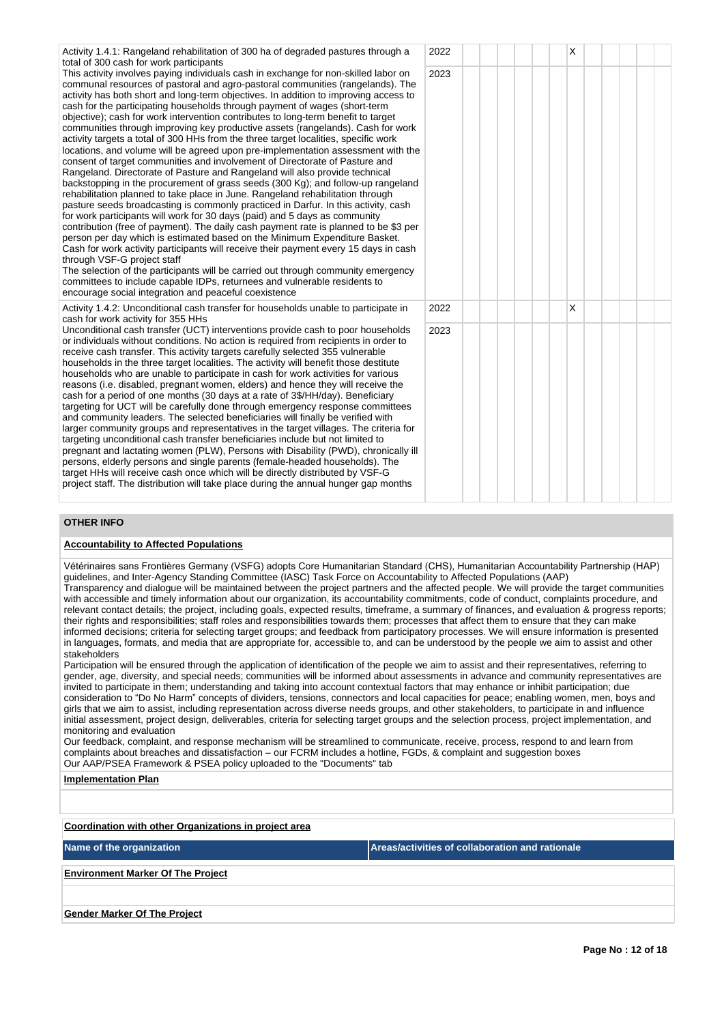| Activity 1.4.1: Rangeland rehabilitation of 300 ha of degraded pastures through a<br>total of 300 cash for work participants                                                                                                                                                                                                                                                                                                                                                                                                                                                                                                                                                                                                                                                                                                                                                                                                                                                                                                                                                                                                                                                                                                                                                                                                                                                                                                                                                                                                                                                                                                                                                                                                   | 2022 |  | X |  |  |
|--------------------------------------------------------------------------------------------------------------------------------------------------------------------------------------------------------------------------------------------------------------------------------------------------------------------------------------------------------------------------------------------------------------------------------------------------------------------------------------------------------------------------------------------------------------------------------------------------------------------------------------------------------------------------------------------------------------------------------------------------------------------------------------------------------------------------------------------------------------------------------------------------------------------------------------------------------------------------------------------------------------------------------------------------------------------------------------------------------------------------------------------------------------------------------------------------------------------------------------------------------------------------------------------------------------------------------------------------------------------------------------------------------------------------------------------------------------------------------------------------------------------------------------------------------------------------------------------------------------------------------------------------------------------------------------------------------------------------------|------|--|---|--|--|
| This activity involves paying individuals cash in exchange for non-skilled labor on<br>communal resources of pastoral and agro-pastoral communities (rangelands). The<br>activity has both short and long-term objectives. In addition to improving access to<br>cash for the participating households through payment of wages (short-term<br>objective); cash for work intervention contributes to long-term benefit to target<br>communities through improving key productive assets (rangelands). Cash for work<br>activity targets a total of 300 HHs from the three target localities, specific work<br>locations, and volume will be agreed upon pre-implementation assessment with the<br>consent of target communities and involvement of Directorate of Pasture and<br>Rangeland. Directorate of Pasture and Rangeland will also provide technical<br>backstopping in the procurement of grass seeds (300 Kg); and follow-up rangeland<br>rehabilitation planned to take place in June. Rangeland rehabilitation through<br>pasture seeds broadcasting is commonly practiced in Darfur. In this activity, cash<br>for work participants will work for 30 days (paid) and 5 days as community<br>contribution (free of payment). The daily cash payment rate is planned to be \$3 per<br>person per day which is estimated based on the Minimum Expenditure Basket.<br>Cash for work activity participants will receive their payment every 15 days in cash<br>through VSF-G project staff<br>The selection of the participants will be carried out through community emergency<br>committees to include capable IDPs, returnees and vulnerable residents to<br>encourage social integration and peaceful coexistence | 2023 |  |   |  |  |
| Activity 1.4.2: Unconditional cash transfer for households unable to participate in<br>cash for work activity for 355 HHs                                                                                                                                                                                                                                                                                                                                                                                                                                                                                                                                                                                                                                                                                                                                                                                                                                                                                                                                                                                                                                                                                                                                                                                                                                                                                                                                                                                                                                                                                                                                                                                                      | 2022 |  | X |  |  |
| Unconditional cash transfer (UCT) interventions provide cash to poor households<br>or individuals without conditions. No action is required from recipients in order to<br>receive cash transfer. This activity targets carefully selected 355 vulnerable<br>households in the three target localities. The activity will benefit those destitute<br>households who are unable to participate in cash for work activities for various<br>reasons (i.e. disabled, pregnant women, elders) and hence they will receive the<br>cash for a period of one months (30 days at a rate of 3\$/HH/day). Beneficiary<br>targeting for UCT will be carefully done through emergency response committees<br>and community leaders. The selected beneficiaries will finally be verified with<br>larger community groups and representatives in the target villages. The criteria for<br>targeting unconditional cash transfer beneficiaries include but not limited to<br>pregnant and lactating women (PLW), Persons with Disability (PWD), chronically ill<br>persons, elderly persons and single parents (female-headed households). The<br>target HHs will receive cash once which will be directly distributed by VSF-G<br>project staff. The distribution will take place during the annual hunger gap months                                                                                                                                                                                                                                                                                                                                                                                                                         | 2023 |  |   |  |  |

## **OTHER INFO**

## **Accountability to Affected Populations**

Vétérinaires sans Frontières Germany (VSFG) adopts Core Humanitarian Standard (CHS), Humanitarian Accountability Partnership (HAP) guidelines, and Inter-Agency Standing Committee (IASC) Task Force on Accountability to Affected Populations (AAP)

Transparency and dialogue will be maintained between the project partners and the affected people. We will provide the target communities with accessible and timely information about our organization, its accountability commitments, code of conduct, complaints procedure, and relevant contact details; the project, including goals, expected results, timeframe, a summary of finances, and evaluation & progress reports; their rights and responsibilities; staff roles and responsibilities towards them; processes that affect them to ensure that they can make informed decisions; criteria for selecting target groups; and feedback from participatory processes. We will ensure information is presented in languages, formats, and media that are appropriate for, accessible to, and can be understood by the people we aim to assist and other stakeholders

Participation will be ensured through the application of identification of the people we aim to assist and their representatives, referring to gender, age, diversity, and special needs; communities will be informed about assessments in advance and community representatives are invited to participate in them; understanding and taking into account contextual factors that may enhance or inhibit participation; due consideration to "Do No Harm" concepts of dividers, tensions, connectors and local capacities for peace; enabling women, men, boys and girls that we aim to assist, including representation across diverse needs groups, and other stakeholders, to participate in and influence initial assessment, project design, deliverables, criteria for selecting target groups and the selection process, project implementation, and monitoring and evaluation

Our feedback, complaint, and response mechanism will be streamlined to communicate, receive, process, respond to and learn from complaints about breaches and dissatisfaction – our FCRM includes a hotline, FGDs, & complaint and suggestion boxes Our AAP/PSEA Framework & PSEA policy uploaded to the "Documents" tab

| <b>Implementation Plan</b> |
|----------------------------|
|----------------------------|

**Coordination with other Organizations in project area**

| Name of the organization                 | Areas/activities of collaboration and rationale |
|------------------------------------------|-------------------------------------------------|
| <b>Environment Marker Of The Project</b> |                                                 |
|                                          |                                                 |
| <b>Gender Marker Of The Project</b>      |                                                 |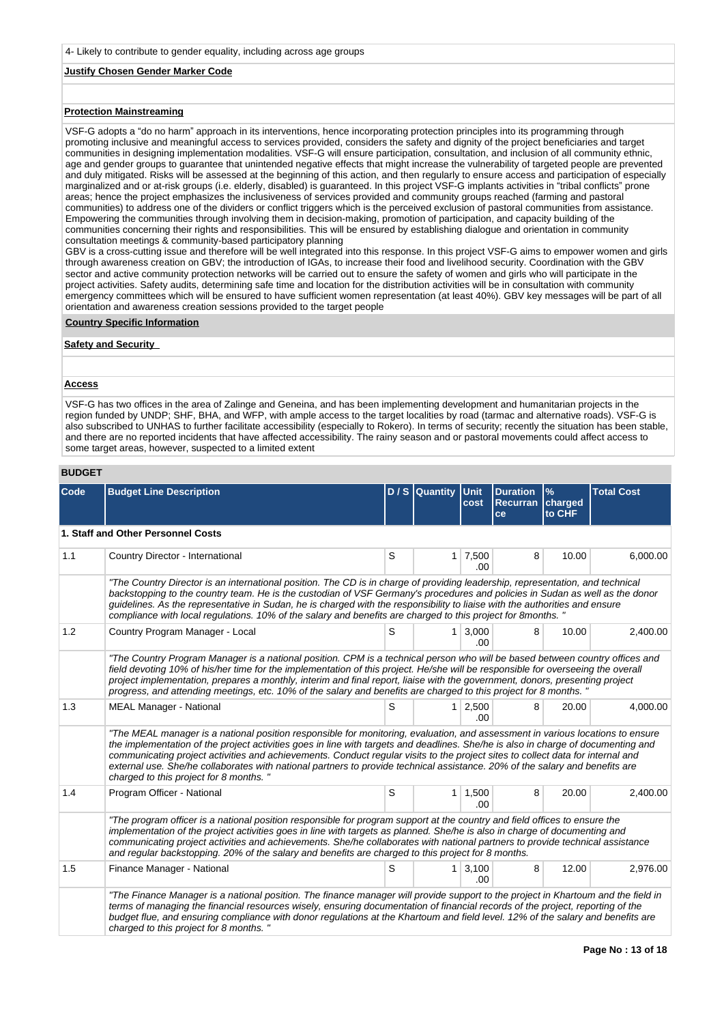## **Justify Chosen Gender Marker Code**

## **Protection Mainstreaming**

VSF-G adopts a "do no harm" approach in its interventions, hence incorporating protection principles into its programming through promoting inclusive and meaningful access to services provided, considers the safety and dignity of the project beneficiaries and target communities in designing implementation modalities. VSF-G will ensure participation, consultation, and inclusion of all community ethnic, age and gender groups to guarantee that unintended negative effects that might increase the vulnerability of targeted people are prevented and duly mitigated. Risks will be assessed at the beginning of this action, and then regularly to ensure access and participation of especially marginalized and or at-risk groups (i.e. elderly, disabled) is guaranteed. In this project VSF-G implants activities in "tribal conflicts" prone areas; hence the project emphasizes the inclusiveness of services provided and community groups reached (farming and pastoral communities) to address one of the dividers or conflict triggers which is the perceived exclusion of pastoral communities from assistance. Empowering the communities through involving them in decision-making, promotion of participation, and capacity building of the communities concerning their rights and responsibilities. This will be ensured by establishing dialogue and orientation in community consultation meetings & community-based participatory planning

GBV is a cross-cutting issue and therefore will be well integrated into this response. In this project VSF-G aims to empower women and girls through awareness creation on GBV; the introduction of IGAs, to increase their food and livelihood security. Coordination with the GBV sector and active community protection networks will be carried out to ensure the safety of women and girls who will participate in the project activities. Safety audits, determining safe time and location for the distribution activities will be in consultation with community emergency committees which will be ensured to have sufficient women representation (at least 40%). GBV key messages will be part of all orientation and awareness creation sessions provided to the target people

#### **Country Specific Information**

## **Safety and Security**

#### **Access**

VSF-G has two offices in the area of Zalinge and Geneina, and has been implementing development and humanitarian projects in the region funded by UNDP; SHF, BHA, and WFP, with ample access to the target localities by road (tarmac and alternative roads). VSF-G is also subscribed to UNHAS to further facilitate accessibility (especially to Rokero). In terms of security; recently the situation has been stable, and there are no reported incidents that have affected accessibility. The rainy season and or pastoral movements could affect access to some target areas, however, suspected to a limited extent

## **BUDGET**

| Code | <b>Budget Line Description</b>                                                                                                                                                                                                                                                                                                                                                                                                                                                                                                                                                   |   | $D / S$ Quantity | Unit<br>cost  | <b>Duration</b><br>Recurran charged<br>ce | $\frac{9}{6}$<br>to CHF | <b>Total Cost</b> |  |  |  |  |  |
|------|----------------------------------------------------------------------------------------------------------------------------------------------------------------------------------------------------------------------------------------------------------------------------------------------------------------------------------------------------------------------------------------------------------------------------------------------------------------------------------------------------------------------------------------------------------------------------------|---|------------------|---------------|-------------------------------------------|-------------------------|-------------------|--|--|--|--|--|
|      | 1. Staff and Other Personnel Costs                                                                                                                                                                                                                                                                                                                                                                                                                                                                                                                                               |   |                  |               |                                           |                         |                   |  |  |  |  |  |
| 1.1  | Country Director - International                                                                                                                                                                                                                                                                                                                                                                                                                                                                                                                                                 | S | 1                | 7,500<br>.00  | 8                                         | 10.00                   | 6,000.00          |  |  |  |  |  |
|      | "The Country Director is an international position. The CD is in charge of providing leadership, representation, and technical<br>backstopping to the country team. He is the custodian of VSF Germany's procedures and policies in Sudan as well as the donor<br>guidelines. As the representative in Sudan, he is charged with the responsibility to liaise with the authorities and ensure<br>compliance with local regulations. 10% of the salary and benefits are charged to this project for 8months. "                                                                    |   |                  |               |                                           |                         |                   |  |  |  |  |  |
| 1.2  | Country Program Manager - Local                                                                                                                                                                                                                                                                                                                                                                                                                                                                                                                                                  | S | 1                | 3.000<br>.00  | 8                                         | 10.00                   | 2,400.00          |  |  |  |  |  |
|      | "The Country Program Manager is a national position. CPM is a technical person who will be based between country offices and<br>field devoting 10% of his/her time for the implementation of this project. He/she will be responsible for overseeing the overall<br>project implementation, prepares a monthly, interim and final report, liaise with the government, donors, presenting project<br>progress, and attending meetings, etc. 10% of the salary and benefits are charged to this project for 8 months. "                                                            |   |                  |               |                                           |                         |                   |  |  |  |  |  |
| 1.3  | <b>MEAL Manager - National</b>                                                                                                                                                                                                                                                                                                                                                                                                                                                                                                                                                   | S | 1                | 2,500<br>.00. | 8                                         | 20.00                   | 4,000.00          |  |  |  |  |  |
|      | "The MEAL manager is a national position responsible for monitoring, evaluation, and assessment in various locations to ensure<br>the implementation of the project activities goes in line with targets and deadlines. She/he is also in charge of documenting and<br>communicating project activities and achievements. Conduct regular visits to the project sites to collect data for internal and<br>external use. She/he collaborates with national partners to provide technical assistance. 20% of the salary and benefits are<br>charged to this project for 8 months." |   |                  |               |                                           |                         |                   |  |  |  |  |  |
| 1.4  | Program Officer - National                                                                                                                                                                                                                                                                                                                                                                                                                                                                                                                                                       | S | $\mathbf{1}$     | 1,500<br>.00. | 8                                         | 20.00                   | 2.400.00          |  |  |  |  |  |
|      | "The program officer is a national position responsible for program support at the country and field offices to ensure the<br>implementation of the project activities goes in line with targets as planned. She/he is also in charge of documenting and<br>communicating project activities and achievements. She/he collaborates with national partners to provide technical assistance<br>and regular backstopping. 20% of the salary and benefits are charged to this project for 8 months.                                                                                  |   |                  |               |                                           |                         |                   |  |  |  |  |  |
| 1.5  | Finance Manager - National                                                                                                                                                                                                                                                                                                                                                                                                                                                                                                                                                       | S | 1                | 3,100<br>00   | 8                                         | 12.00                   | 2,976.00          |  |  |  |  |  |
|      | "The Finance Manager is a national position. The finance manager will provide support to the project in Khartoum and the field in<br>terms of managing the financial resources wisely, ensuring documentation of financial records of the project, reporting of the<br>budget flue, and ensuring compliance with donor regulations at the Khartoum and field level. 12% of the salary and benefits are<br>charged to this project for 8 months."                                                                                                                                 |   |                  |               |                                           |                         |                   |  |  |  |  |  |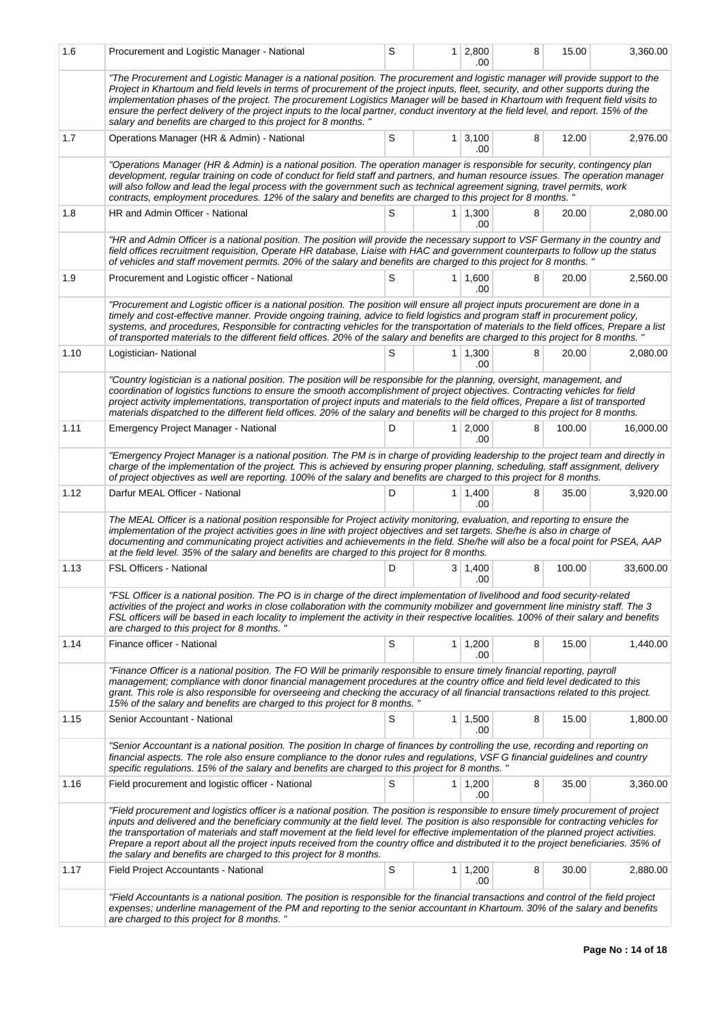| 1.6  | Procurement and Logistic Manager - National                                                                                                                                                                                                                                                                                                                                                                                                                                                                                                                                                                                          | S           |                | $1 \mid 2,800$<br>.00 | 8 | 15.00  | 3,360.00  |  |  |  |  |  |
|------|--------------------------------------------------------------------------------------------------------------------------------------------------------------------------------------------------------------------------------------------------------------------------------------------------------------------------------------------------------------------------------------------------------------------------------------------------------------------------------------------------------------------------------------------------------------------------------------------------------------------------------------|-------------|----------------|-----------------------|---|--------|-----------|--|--|--|--|--|
|      | "The Procurement and Logistic Manager is a national position. The procurement and logistic manager will provide support to the<br>Project in Khartoum and field levels in terms of procurement of the project inputs, fleet, security, and other supports during the<br>implementation phases of the project. The procurement Logistics Manager will be based in Khartoum with frequent field visits to<br>ensure the perfect delivery of the project inputs to the local partner, conduct inventory at the field level, and report. 15% of the<br>salary and benefits are charged to this project for 8 months. "                   |             |                |                       |   |        |           |  |  |  |  |  |
| 1.7  | Operations Manager (HR & Admin) - National                                                                                                                                                                                                                                                                                                                                                                                                                                                                                                                                                                                           | S           |                | $1 \mid 3,100$<br>.00 | 8 | 12.00  | 2,976.00  |  |  |  |  |  |
|      | "Operations Manager (HR & Admin) is a national position. The operation manager is responsible for security, contingency plan<br>development, regular training on code of conduct for field staff and partners, and human resource issues. The operation manager<br>will also follow and lead the legal process with the government such as technical agreement signing, travel permits, work<br>contracts, employment procedures. 12% of the salary and benefits are charged to this project for 8 months.                                                                                                                           |             |                |                       |   |        |           |  |  |  |  |  |
| 1.8  | HR and Admin Officer - National                                                                                                                                                                                                                                                                                                                                                                                                                                                                                                                                                                                                      | S           |                | $1 \mid 1,300$<br>.00 | 8 | 20.00  | 2,080.00  |  |  |  |  |  |
|      | "HR and Admin Officer is a national position. The position will provide the necessary support to VSF Germany in the country and<br>field offices recruitment requisition, Operate HR database, Liaise with HAC and government counterparts to follow up the status<br>of vehicles and staff movement permits. 20% of the salary and benefits are charged to this project for 8 months. "                                                                                                                                                                                                                                             |             |                |                       |   |        |           |  |  |  |  |  |
| 1.9  | Procurement and Logistic officer - National                                                                                                                                                                                                                                                                                                                                                                                                                                                                                                                                                                                          | S           |                | $1 \mid 1,600$<br>.00 | 8 | 20.00  | 2,560.00  |  |  |  |  |  |
|      | "Procurement and Logistic officer is a national position. The position will ensure all project inputs procurement are done in a<br>timely and cost-effective manner. Provide ongoing training, advice to field logistics and program staff in procurement policy,<br>systems, and procedures, Responsible for contracting vehicles for the transportation of materials to the field offices, Prepare a list<br>of transported materials to the different field offices. 20% of the salary and benefits are charged to this project for 8 months. "                                                                                   |             |                |                       |   |        |           |  |  |  |  |  |
| 1.10 | Logistician-National                                                                                                                                                                                                                                                                                                                                                                                                                                                                                                                                                                                                                 | S           |                | $1 \mid 1,300$<br>.00 | 8 | 20.00  | 2,080.00  |  |  |  |  |  |
|      | "Country logistician is a national position. The position will be responsible for the planning, oversight, management, and<br>coordination of logistics functions to ensure the smooth accomplishment of project objectives. Contracting vehicles for field<br>project activity implementations, transportation of project inputs and materials to the field offices, Prepare a list of transported<br>materials dispatched to the different field offices. 20% of the salary and benefits will be charged to this project for 8 months.                                                                                             |             |                |                       |   |        |           |  |  |  |  |  |
| 1.11 | Emergency Project Manager - National                                                                                                                                                                                                                                                                                                                                                                                                                                                                                                                                                                                                 | D           | 1 <sup>1</sup> | 2,000<br>.00          | 8 | 100.00 | 16,000.00 |  |  |  |  |  |
|      | "Emergency Project Manager is a national position. The PM is in charge of providing leadership to the project team and directly in<br>charge of the implementation of the project. This is achieved by ensuring proper planning, scheduling, staff assignment, delivery<br>of project objectives as well are reporting. 100% of the salary and benefits are charged to this project for 8 months.                                                                                                                                                                                                                                    |             |                |                       |   |        |           |  |  |  |  |  |
| 1.12 | Darfur MEAL Officer - National                                                                                                                                                                                                                                                                                                                                                                                                                                                                                                                                                                                                       | D           |                | 1 1,400<br>.00        | 8 | 35.00  | 3,920.00  |  |  |  |  |  |
|      | The MEAL Officer is a national position responsible for Project activity monitoring, evaluation, and reporting to ensure the<br>implementation of the project activities goes in line with project objectives and set targets. She/he is also in charge of<br>documenting and communicating project activities and achievements in the field. She/he will also be a focal point for PSEA, AAP<br>at the field level. 35% of the salary and benefits are charged to this project for 8 months.                                                                                                                                        |             |                |                       |   |        |           |  |  |  |  |  |
| 1.13 | <b>FSL Officers - National</b>                                                                                                                                                                                                                                                                                                                                                                                                                                                                                                                                                                                                       | D           |                | $3 \mid 1,400$<br>.00 | 8 | 100.00 | 33,600.00 |  |  |  |  |  |
|      | "FSL Officer is a national position. The PO is in charge of the direct implementation of livelihood and food security-related<br>activities of the project and works in close collaboration with the community mobilizer and government line ministry staff. The 3<br>FSL officers will be based in each locality to implement the activity in their respective localities. 100% of their salary and benefits<br>are charged to this project for 8 months.                                                                                                                                                                           |             |                |                       |   |        |           |  |  |  |  |  |
| 1.14 | Finance officer - National                                                                                                                                                                                                                                                                                                                                                                                                                                                                                                                                                                                                           | S           |                | $1 \mid 1,200$<br>.00 | 8 | 15.00  | 1,440.00  |  |  |  |  |  |
|      | "Finance Officer is a national position. The FO Will be primarily responsible to ensure timely financial reporting, payroll<br>management; compliance with donor financial management procedures at the country office and field level dedicated to this<br>grant. This role is also responsible for overseeing and checking the accuracy of all financial transactions related to this project.<br>15% of the salary and benefits are charged to this project for 8 months. "                                                                                                                                                       |             |                |                       |   |        |           |  |  |  |  |  |
| 1.15 | Senior Accountant - National                                                                                                                                                                                                                                                                                                                                                                                                                                                                                                                                                                                                         | S           |                | 1 1,500<br>.00        | 8 | 15.00  | 1,800.00  |  |  |  |  |  |
|      | "Senior Accountant is a national position. The position In charge of finances by controlling the use, recording and reporting on<br>financial aspects. The role also ensure compliance to the donor rules and regulations, VSF G financial guidelines and country<br>specific regulations. 15% of the salary and benefits are charged to this project for 8 months. "                                                                                                                                                                                                                                                                |             |                |                       |   |        |           |  |  |  |  |  |
| 1.16 | Field procurement and logistic officer - National                                                                                                                                                                                                                                                                                                                                                                                                                                                                                                                                                                                    | S           |                | $1 \mid 1,200$<br>.00 | 8 | 35.00  | 3,360.00  |  |  |  |  |  |
|      | "Field procurement and logistics officer is a national position. The position is responsible to ensure timely procurement of project<br>inputs and delivered and the beneficiary community at the field level. The position is also responsible for contracting vehicles for<br>the transportation of materials and staff movement at the field level for effective implementation of the planned project activities.<br>Prepare a report about all the project inputs received from the country office and distributed it to the project beneficiaries. 35% of<br>the salary and benefits are charged to this project for 8 months. |             |                |                       |   |        |           |  |  |  |  |  |
| 1.17 | Field Project Accountants - National                                                                                                                                                                                                                                                                                                                                                                                                                                                                                                                                                                                                 | $\mathbb S$ | 1 <sup>1</sup> | 1,200<br>.00          | 8 | 30.00  | 2,880.00  |  |  |  |  |  |
|      | "Field Accountants is a national position. The position is responsible for the financial transactions and control of the field project<br>expenses; underline management of the PM and reporting to the senior accountant in Khartoum. 30% of the salary and benefits<br>are charged to this project for 8 months."                                                                                                                                                                                                                                                                                                                  |             |                |                       |   |        |           |  |  |  |  |  |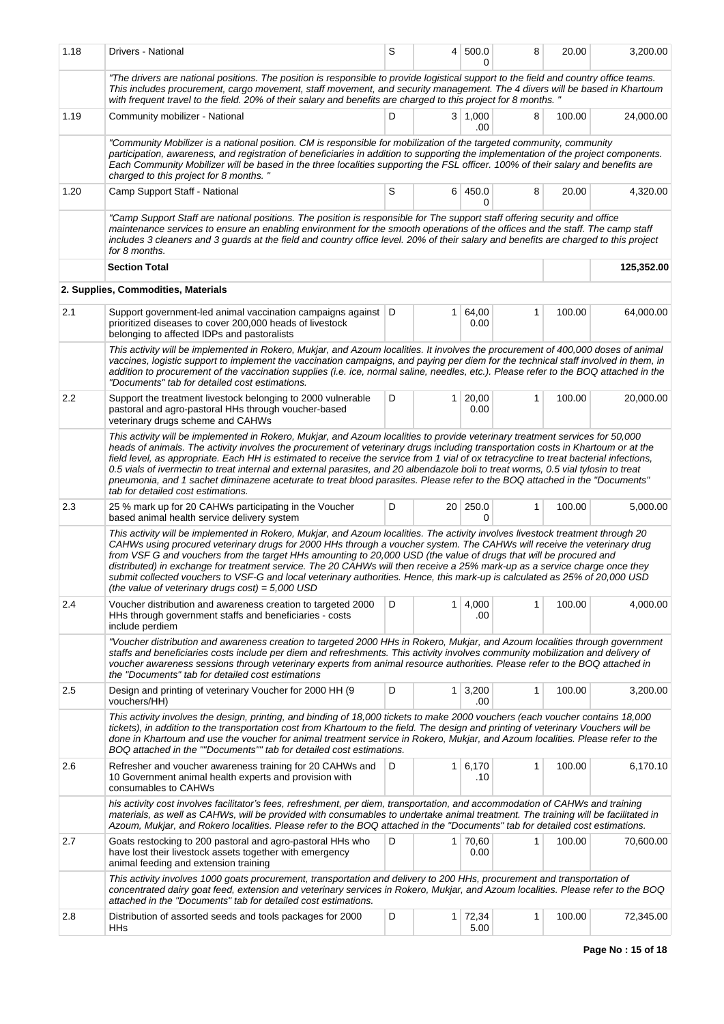| 1.18                                                                                                                                                                                                                                                                                                                                                                                                                                                                                                                                                                                                                                                                                                                   | Drivers - National                                                                                                                                                                                                                                                                                                                                                                                                                                                                                                                                                                                                                                                                                  | S |                 | 4 500.0<br>O      | 8            | 20.00  | 3,200.00   |  |  |  |  |  |
|------------------------------------------------------------------------------------------------------------------------------------------------------------------------------------------------------------------------------------------------------------------------------------------------------------------------------------------------------------------------------------------------------------------------------------------------------------------------------------------------------------------------------------------------------------------------------------------------------------------------------------------------------------------------------------------------------------------------|-----------------------------------------------------------------------------------------------------------------------------------------------------------------------------------------------------------------------------------------------------------------------------------------------------------------------------------------------------------------------------------------------------------------------------------------------------------------------------------------------------------------------------------------------------------------------------------------------------------------------------------------------------------------------------------------------------|---|-----------------|-------------------|--------------|--------|------------|--|--|--|--|--|
|                                                                                                                                                                                                                                                                                                                                                                                                                                                                                                                                                                                                                                                                                                                        | "The drivers are national positions. The position is responsible to provide logistical support to the field and country office teams.<br>This includes procurement, cargo movement, staff movement, and security management. The 4 divers will be based in Khartoum<br>with frequent travel to the field. 20% of their salary and benefits are charged to this project for 8 months. "                                                                                                                                                                                                                                                                                                              |   |                 |                   |              |        |            |  |  |  |  |  |
| 1.19                                                                                                                                                                                                                                                                                                                                                                                                                                                                                                                                                                                                                                                                                                                   | Community mobilizer - National                                                                                                                                                                                                                                                                                                                                                                                                                                                                                                                                                                                                                                                                      | D |                 | 3   1,000<br>.00  | 8            | 100.00 | 24,000.00  |  |  |  |  |  |
|                                                                                                                                                                                                                                                                                                                                                                                                                                                                                                                                                                                                                                                                                                                        | "Community Mobilizer is a national position. CM is responsible for mobilization of the targeted community, community<br>participation, awareness, and registration of beneficiaries in addition to supporting the implementation of the project components.<br>Each Community Mobilizer will be based in the three localities supporting the FSL officer. 100% of their salary and benefits are<br>charged to this project for 8 months."                                                                                                                                                                                                                                                           |   |                 |                   |              |        |            |  |  |  |  |  |
| 1.20                                                                                                                                                                                                                                                                                                                                                                                                                                                                                                                                                                                                                                                                                                                   | Camp Support Staff - National                                                                                                                                                                                                                                                                                                                                                                                                                                                                                                                                                                                                                                                                       | S |                 | 6 450.0<br>0      | 8            | 20.00  | 4,320.00   |  |  |  |  |  |
| "Camp Support Staff are national positions. The position is responsible for The support staff offering security and office<br>maintenance services to ensure an enabling environment for the smooth operations of the offices and the staff. The camp staff<br>includes 3 cleaners and 3 guards at the field and country office level. 20% of their salary and benefits are charged to this project<br>for 8 months.                                                                                                                                                                                                                                                                                                   |                                                                                                                                                                                                                                                                                                                                                                                                                                                                                                                                                                                                                                                                                                     |   |                 |                   |              |        |            |  |  |  |  |  |
|                                                                                                                                                                                                                                                                                                                                                                                                                                                                                                                                                                                                                                                                                                                        | <b>Section Total</b>                                                                                                                                                                                                                                                                                                                                                                                                                                                                                                                                                                                                                                                                                |   |                 |                   |              |        | 125,352.00 |  |  |  |  |  |
|                                                                                                                                                                                                                                                                                                                                                                                                                                                                                                                                                                                                                                                                                                                        | 2. Supplies, Commodities, Materials                                                                                                                                                                                                                                                                                                                                                                                                                                                                                                                                                                                                                                                                 |   |                 |                   |              |        |            |  |  |  |  |  |
| 2.1                                                                                                                                                                                                                                                                                                                                                                                                                                                                                                                                                                                                                                                                                                                    | Support government-led animal vaccination campaigns against   D<br>prioritized diseases to cover 200,000 heads of livestock<br>belonging to affected IDPs and pastoralists                                                                                                                                                                                                                                                                                                                                                                                                                                                                                                                          |   | 1 <sup>1</sup>  | 64,00<br>0.00     | $\mathbf{1}$ | 100.00 | 64,000.00  |  |  |  |  |  |
|                                                                                                                                                                                                                                                                                                                                                                                                                                                                                                                                                                                                                                                                                                                        | This activity will be implemented in Rokero, Mukjar, and Azoum localities. It involves the procurement of 400,000 doses of animal<br>vaccines, logistic support to implement the vaccination campaigns, and paying per diem for the technical staff involved in them, in<br>addition to procurement of the vaccination supplies (i.e. ice, normal saline, needles, etc.). Please refer to the BOQ attached in the<br>"Documents" tab for detailed cost estimations.                                                                                                                                                                                                                                 |   |                 |                   |              |        |            |  |  |  |  |  |
| 2.2                                                                                                                                                                                                                                                                                                                                                                                                                                                                                                                                                                                                                                                                                                                    | Support the treatment livestock belonging to 2000 vulnerable<br>pastoral and agro-pastoral HHs through voucher-based<br>veterinary drugs scheme and CAHWs                                                                                                                                                                                                                                                                                                                                                                                                                                                                                                                                           | D | $\mathbf{1}$    | 20,00<br>0.00     | 1            | 100.00 | 20,000.00  |  |  |  |  |  |
| This activity will be implemented in Rokero, Mukjar, and Azoum localities to provide veterinary treatment services for 50,000<br>heads of animals. The activity involves the procurement of veterinary drugs including transportation costs in Khartoum or at the<br>field level, as appropriate. Each HH is estimated to receive the service from 1 vial of ox tetracycline to treat bacterial infections,<br>0.5 vials of ivermectin to treat internal and external parasites, and 20 albendazole boli to treat worms, 0.5 vial tylosin to treat<br>pneumonia, and 1 sachet diminazene aceturate to treat blood parasites. Please refer to the BOQ attached in the "Documents"<br>tab for detailed cost estimations. |                                                                                                                                                                                                                                                                                                                                                                                                                                                                                                                                                                                                                                                                                                     |   |                 |                   |              |        |            |  |  |  |  |  |
| 2.3                                                                                                                                                                                                                                                                                                                                                                                                                                                                                                                                                                                                                                                                                                                    | 25 % mark up for 20 CAHWs participating in the Voucher<br>based animal health service delivery system                                                                                                                                                                                                                                                                                                                                                                                                                                                                                                                                                                                               | D | 20 <sub>1</sub> | 250.0<br>0        | 1            | 100.00 | 5,000.00   |  |  |  |  |  |
|                                                                                                                                                                                                                                                                                                                                                                                                                                                                                                                                                                                                                                                                                                                        | This activity will be implemented in Rokero, Mukjar, and Azoum localities. The activity involves livestock treatment through 20<br>CAHWs using procured veterinary drugs for 2000 HHs through a voucher system. The CAHWs will receive the veterinary drug<br>from VSF G and vouchers from the target HHs amounting to 20,000 USD (the value of drugs that will be procured and<br>distributed) in exchange for treatment service. The 20 CAHWs will then receive a 25% mark-up as a service charge once they<br>submit collected vouchers to VSF-G and local veterinary authorities. Hence, this mark-up is calculated as 25% of 20,000 USD<br>(the value of veterinary drugs $cost$ ) = 5,000 USD |   |                 |                   |              |        |            |  |  |  |  |  |
| 2.4                                                                                                                                                                                                                                                                                                                                                                                                                                                                                                                                                                                                                                                                                                                    | Voucher distribution and awareness creation to targeted 2000<br>HHs through government staffs and beneficiaries - costs<br>include perdiem                                                                                                                                                                                                                                                                                                                                                                                                                                                                                                                                                          | D | $\mathbf{1}$    | 4,000<br>.00      | 1            | 100.00 | 4,000.00   |  |  |  |  |  |
|                                                                                                                                                                                                                                                                                                                                                                                                                                                                                                                                                                                                                                                                                                                        | "Voucher distribution and awareness creation to targeted 2000 HHs in Rokero, Mukjar, and Azoum localities through government<br>staffs and beneficiaries costs include per diem and refreshments. This activity involves community mobilization and delivery of<br>voucher awareness sessions through veterinary experts from animal resource authorities. Please refer to the BOQ attached in<br>the "Documents" tab for detailed cost estimations                                                                                                                                                                                                                                                 |   |                 |                   |              |        |            |  |  |  |  |  |
| 2.5                                                                                                                                                                                                                                                                                                                                                                                                                                                                                                                                                                                                                                                                                                                    | Design and printing of veterinary Voucher for 2000 HH (9<br>vouchers/HH)                                                                                                                                                                                                                                                                                                                                                                                                                                                                                                                                                                                                                            | D | 1 <sup>1</sup>  | 3,200<br>.00      | 1            | 100.00 | 3,200.00   |  |  |  |  |  |
|                                                                                                                                                                                                                                                                                                                                                                                                                                                                                                                                                                                                                                                                                                                        | This activity involves the design, printing, and binding of 18,000 tickets to make 2000 vouchers (each voucher contains 18,000<br>tickets), in addition to the transportation cost from Khartoum to the field. The design and printing of veterinary Vouchers will be<br>done in Khartoum and use the voucher for animal treatment service in Rokero, Mukjar, and Azoum localities. Please refer to the<br>BOQ attached in the ""Documents"" tab for detailed cost estimations.                                                                                                                                                                                                                     |   |                 |                   |              |        |            |  |  |  |  |  |
| 2.6                                                                                                                                                                                                                                                                                                                                                                                                                                                                                                                                                                                                                                                                                                                    | Refresher and voucher awareness training for 20 CAHWs and<br>10 Government animal health experts and provision with<br>consumables to CAHWs                                                                                                                                                                                                                                                                                                                                                                                                                                                                                                                                                         | D | 1 <sup>1</sup>  | 6,170<br>.10      | 1            | 100.00 | 6,170.10   |  |  |  |  |  |
|                                                                                                                                                                                                                                                                                                                                                                                                                                                                                                                                                                                                                                                                                                                        | his activity cost involves facilitator's fees, refreshment, per diem, transportation, and accommodation of CAHWs and training<br>materials, as well as CAHWs, will be provided with consumables to undertake animal treatment. The training will be facilitated in<br>Azoum, Mukjar, and Rokero localities. Please refer to the BOQ attached in the "Documents" tab for detailed cost estimations.                                                                                                                                                                                                                                                                                                  |   |                 |                   |              |        |            |  |  |  |  |  |
| 2.7                                                                                                                                                                                                                                                                                                                                                                                                                                                                                                                                                                                                                                                                                                                    | Goats restocking to 200 pastoral and agro-pastoral HHs who<br>have lost their livestock assets together with emergency<br>animal feeding and extension training                                                                                                                                                                                                                                                                                                                                                                                                                                                                                                                                     | D |                 | 1   70,60<br>0.00 | 1            | 100.00 | 70,600.00  |  |  |  |  |  |
|                                                                                                                                                                                                                                                                                                                                                                                                                                                                                                                                                                                                                                                                                                                        | This activity involves 1000 goats procurement, transportation and delivery to 200 HHs, procurement and transportation of<br>concentrated dairy goat feed, extension and veterinary services in Rokero, Mukjar, and Azoum localities. Please refer to the BOQ<br>attached in the "Documents" tab for detailed cost estimations.                                                                                                                                                                                                                                                                                                                                                                      |   |                 |                   |              |        |            |  |  |  |  |  |
| 2.8                                                                                                                                                                                                                                                                                                                                                                                                                                                                                                                                                                                                                                                                                                                    | Distribution of assorted seeds and tools packages for 2000<br>HHs                                                                                                                                                                                                                                                                                                                                                                                                                                                                                                                                                                                                                                   | D | 1 <sup>1</sup>  | 72,34<br>5.00     | 1            | 100.00 | 72,345.00  |  |  |  |  |  |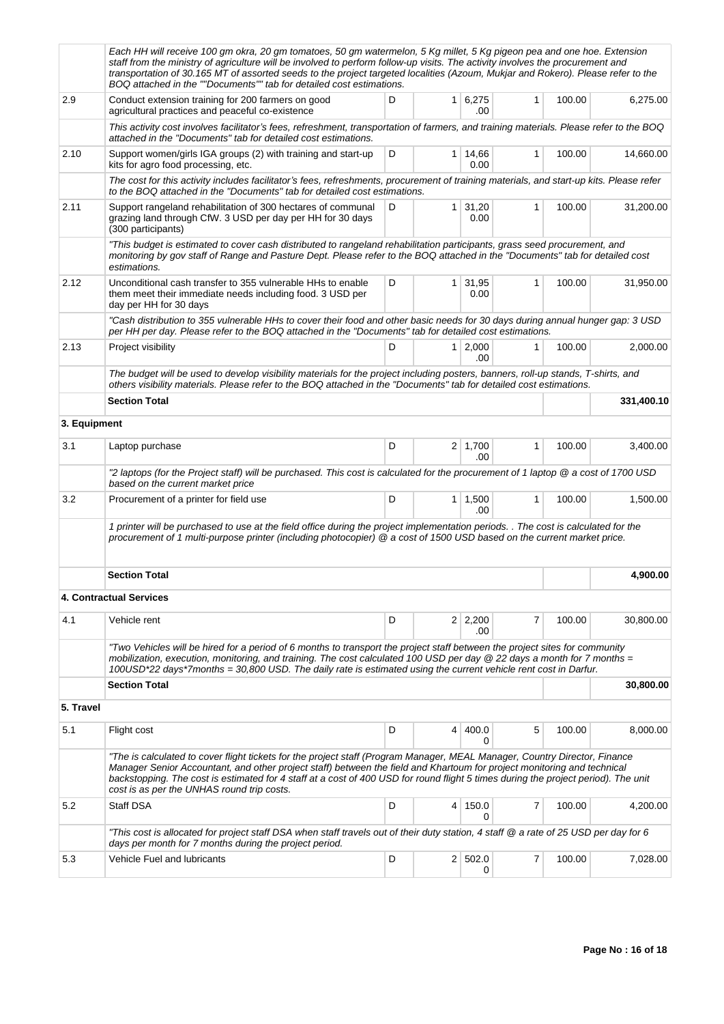|              | Each HH will receive 100 gm okra, 20 gm tomatoes, 50 gm watermelon, 5 Kg millet, 5 Kg pigeon pea and one hoe. Extension<br>staff from the ministry of agriculture will be involved to perform follow-up visits. The activity involves the procurement and<br>transportation of 30.165 MT of assorted seeds to the project targeted localities (Azoum, Mukjar and Rokero). Please refer to the<br>BOQ attached in the ""Documents"" tab for detailed cost estimations. |   |                |                       |              |        |           |  |  |  |
|--------------|-----------------------------------------------------------------------------------------------------------------------------------------------------------------------------------------------------------------------------------------------------------------------------------------------------------------------------------------------------------------------------------------------------------------------------------------------------------------------|---|----------------|-----------------------|--------------|--------|-----------|--|--|--|
| 2.9          | Conduct extension training for 200 farmers on good<br>agricultural practices and peaceful co-existence                                                                                                                                                                                                                                                                                                                                                                | D |                | 1 6,275<br>.00        | $\mathbf{1}$ | 100.00 | 6,275.00  |  |  |  |
|              | This activity cost involves facilitator's fees, refreshment, transportation of farmers, and training materials. Please refer to the BOQ<br>attached in the "Documents" tab for detailed cost estimations.                                                                                                                                                                                                                                                             |   |                |                       |              |        |           |  |  |  |
| 2.10         | Support women/girls IGA groups (2) with training and start-up<br>kits for agro food processing, etc.                                                                                                                                                                                                                                                                                                                                                                  | D |                | 1 14,66<br>0.00       | $\mathbf{1}$ | 100.00 | 14,660.00 |  |  |  |
|              | The cost for this activity includes facilitator's fees, refreshments, procurement of training materials, and start-up kits. Please refer<br>to the BOQ attached in the "Documents" tab for detailed cost estimations.                                                                                                                                                                                                                                                 |   |                |                       |              |        |           |  |  |  |
| 2.11         | Support rangeland rehabilitation of 300 hectares of communal<br>grazing land through CfW. 3 USD per day per HH for 30 days<br>(300 participants)                                                                                                                                                                                                                                                                                                                      | D | $\mathbf{1}$   | 31,20<br>0.00         | $\mathbf{1}$ | 100.00 | 31,200.00 |  |  |  |
|              | "This budget is estimated to cover cash distributed to rangeland rehabilitation participants, grass seed procurement, and<br>monitoring by gov staff of Range and Pasture Dept. Please refer to the BOQ attached in the "Documents" tab for detailed cost<br>estimations.                                                                                                                                                                                             |   |                |                       |              |        |           |  |  |  |
| 2.12         | D<br>1 <sup>1</sup><br>31,95<br>$\mathbf{1}$<br>Unconditional cash transfer to 355 vulnerable HHs to enable<br>them meet their immediate needs including food. 3 USD per<br>0.00<br>day per HH for 30 days                                                                                                                                                                                                                                                            |   |                |                       |              |        | 31,950.00 |  |  |  |
|              | "Cash distribution to 355 vulnerable HHs to cover their food and other basic needs for 30 days during annual hunger gap: 3 USD<br>per HH per day. Please refer to the BOQ attached in the "Documents" tab for detailed cost estimations.                                                                                                                                                                                                                              |   |                |                       |              |        |           |  |  |  |
| 2.13         | Project visibility                                                                                                                                                                                                                                                                                                                                                                                                                                                    | D |                | $1 \mid 2,000$<br>.00 | $\mathbf{1}$ | 100.00 | 2.000.00  |  |  |  |
|              | The budget will be used to develop visibility materials for the project including posters, banners, roll-up stands, T-shirts, and<br>others visibility materials. Please refer to the BOQ attached in the "Documents" tab for detailed cost estimations.                                                                                                                                                                                                              |   |                |                       |              |        |           |  |  |  |
|              | <b>Section Total</b>                                                                                                                                                                                                                                                                                                                                                                                                                                                  |   |                | 331,400.10            |              |        |           |  |  |  |
| 3. Equipment |                                                                                                                                                                                                                                                                                                                                                                                                                                                                       |   |                |                       |              |        |           |  |  |  |
| 3.1          | Laptop purchase                                                                                                                                                                                                                                                                                                                                                                                                                                                       | D |                | $2 \mid 1,700$<br>.00 | 1            | 100.00 | 3,400.00  |  |  |  |
|              | "2 laptops (for the Project staff) will be purchased. This cost is calculated for the procurement of 1 laptop @ a cost of 1700 USD<br>based on the current market price                                                                                                                                                                                                                                                                                               |   |                |                       |              |        |           |  |  |  |
| 3.2          | Procurement of a printer for field use                                                                                                                                                                                                                                                                                                                                                                                                                                | D | $\mathbf{1}$   | 1,500<br>.00          | $\mathbf{1}$ | 100.00 | 1,500.00  |  |  |  |
|              | 1 printer will be purchased to use at the field office during the project implementation periods. . The cost is calculated for the<br>procurement of 1 multi-purpose printer (including photocopier) @ a cost of 1500 USD based on the current market price.                                                                                                                                                                                                          |   |                |                       |              |        |           |  |  |  |
|              | <b>Section Total</b>                                                                                                                                                                                                                                                                                                                                                                                                                                                  |   |                |                       |              |        | 4.900.00  |  |  |  |
|              | <b>4. Contractual Services</b>                                                                                                                                                                                                                                                                                                                                                                                                                                        |   |                |                       |              |        |           |  |  |  |
| 4.1          | Vehicle rent                                                                                                                                                                                                                                                                                                                                                                                                                                                          | D |                | $2 \mid 2,200$<br>.00 | 7            | 100.00 | 30,800.00 |  |  |  |
|              | "Two Vehicles will be hired for a period of 6 months to transport the project staff between the project sites for community<br>mobilization, execution, monitoring, and training. The cost calculated 100 USD per day @ 22 days a month for 7 months =<br>100USD*22 days*7months = 30,800 USD. The daily rate is estimated using the current vehicle rent cost in Darfur.                                                                                             |   |                |                       |              |        |           |  |  |  |
|              | <b>Section Total</b>                                                                                                                                                                                                                                                                                                                                                                                                                                                  |   |                |                       |              |        | 30,800.00 |  |  |  |
| 5. Travel    |                                                                                                                                                                                                                                                                                                                                                                                                                                                                       |   |                |                       |              |        |           |  |  |  |
| 5.1          | Flight cost                                                                                                                                                                                                                                                                                                                                                                                                                                                           | D | $\overline{4}$ | 400.0<br>0            | 5            | 100.00 | 8,000.00  |  |  |  |
|              | "The is calculated to cover flight tickets for the project staff (Program Manager, MEAL Manager, Country Director, Finance<br>Manager Senior Accountant, and other project staff) between the field and Khartoum for project monitoring and technical<br>backstopping. The cost is estimated for 4 staff at a cost of 400 USD for round flight 5 times during the project period). The unit<br>cost is as per the UNHAS round trip costs.                             |   |                |                       |              |        |           |  |  |  |
| 5.2          | Staff DSA                                                                                                                                                                                                                                                                                                                                                                                                                                                             | D | 4              | 150.0<br>0            | 7            | 100.00 | 4,200.00  |  |  |  |
|              | "This cost is allocated for project staff DSA when staff travels out of their duty station, 4 staff @ a rate of 25 USD per day for 6<br>days per month for 7 months during the project period.                                                                                                                                                                                                                                                                        |   |                |                       |              |        |           |  |  |  |
| 5.3          | Vehicle Fuel and lubricants                                                                                                                                                                                                                                                                                                                                                                                                                                           | D |                | 2   502.0<br>0        | 7            | 100.00 | 7,028.00  |  |  |  |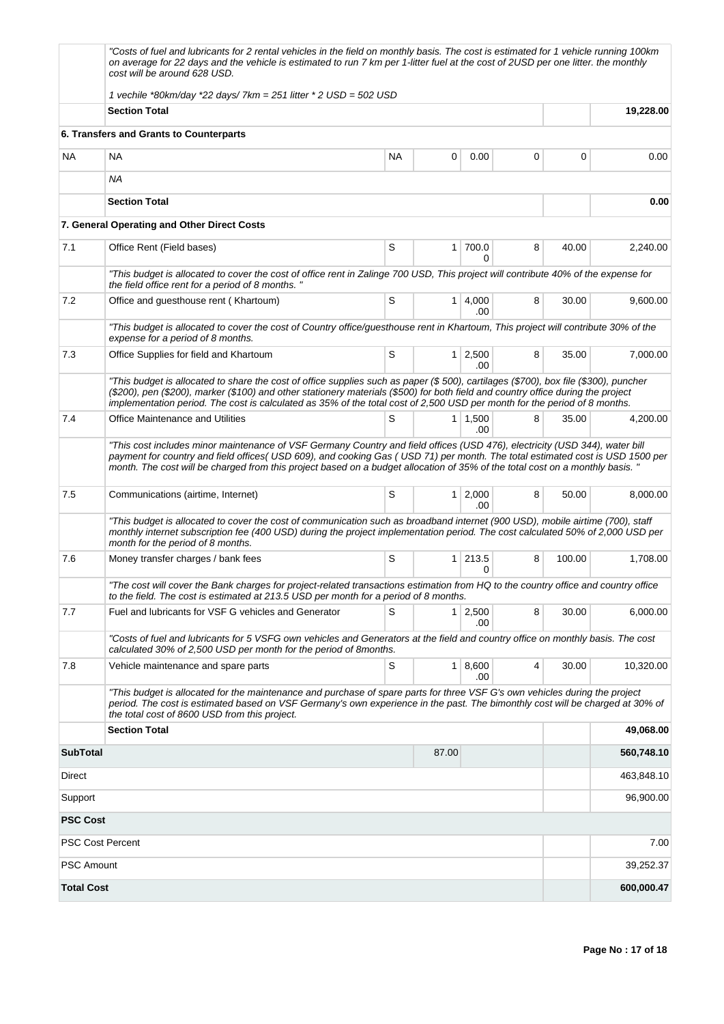|                         | "Costs of fuel and lubricants for 2 rental vehicles in the field on monthly basis. The cost is estimated for 1 vehicle running 100km<br>on average for 22 days and the vehicle is estimated to run 7 km per 1-litter fuel at the cost of 2USD per one litter. the monthly<br>cost will be around 628 USD.                                                                                            |           |                |                       |   |        |            |
|-------------------------|------------------------------------------------------------------------------------------------------------------------------------------------------------------------------------------------------------------------------------------------------------------------------------------------------------------------------------------------------------------------------------------------------|-----------|----------------|-----------------------|---|--------|------------|
|                         | 1 vechile *80km/day *22 days/7km = $251$ litter * 2 USD = $502$ USD                                                                                                                                                                                                                                                                                                                                  |           |                |                       |   |        |            |
|                         | <b>Section Total</b>                                                                                                                                                                                                                                                                                                                                                                                 |           |                |                       |   |        | 19,228.00  |
|                         | 6. Transfers and Grants to Counterparts                                                                                                                                                                                                                                                                                                                                                              |           |                |                       |   |        |            |
| <b>NA</b>               | ΝA                                                                                                                                                                                                                                                                                                                                                                                                   | <b>NA</b> | 0              | 0.00                  | 0 | 0      | 0.00       |
|                         | ΝA                                                                                                                                                                                                                                                                                                                                                                                                   |           |                |                       |   |        |            |
|                         |                                                                                                                                                                                                                                                                                                                                                                                                      | 0.00      |                |                       |   |        |            |
|                         | 7. General Operating and Other Direct Costs                                                                                                                                                                                                                                                                                                                                                          |           |                |                       |   |        |            |
| 7.1                     | Office Rent (Field bases)                                                                                                                                                                                                                                                                                                                                                                            | S         | $\mathbf{1}$   | 700.0<br><sup>0</sup> | 8 | 40.00  | 2,240.00   |
|                         | "This budget is allocated to cover the cost of office rent in Zalinge 700 USD, This project will contribute 40% of the expense for<br>the field office rent for a period of 8 months."                                                                                                                                                                                                               |           |                |                       |   |        |            |
| 7.2                     | Office and guesthouse rent (Khartoum)                                                                                                                                                                                                                                                                                                                                                                | S         |                | 1 4,000<br>.00        | 8 | 30.00  | 9,600.00   |
|                         | "This budget is allocated to cover the cost of Country office/guesthouse rent in Khartoum, This project will contribute 30% of the<br>expense for a period of 8 months.                                                                                                                                                                                                                              |           |                |                       |   |        |            |
| 7.3                     | Office Supplies for field and Khartoum                                                                                                                                                                                                                                                                                                                                                               | S         |                | $1 \ 2,500$<br>.00    | 8 | 35.00  | 7,000.00   |
|                         | "This budget is allocated to share the cost of office supplies such as paper (\$500), cartilages (\$700), box file (\$300), puncher<br>(\$200), pen (\$200), marker (\$100) and other stationery materials (\$500) for both field and country office during the project<br>implementation period. The cost is calculated as 35% of the total cost of 2,500 USD per month for the period of 8 months. |           |                |                       |   |        |            |
| 7.4                     | <b>Office Maintenance and Utilities</b>                                                                                                                                                                                                                                                                                                                                                              | S         |                | $1 \mid 1,500$<br>.00 | 8 | 35.00  | 4,200.00   |
|                         | "This cost includes minor maintenance of VSF Germany Country and field offices (USD 476), electricity (USD 344), water bill<br>payment for country and field offices(USD 609), and cooking Gas (USD 71) per month. The total estimated cost is USD 1500 per<br>month. The cost will be charged from this project based on a budget allocation of 35% of the total cost on a monthly basis. "         |           |                |                       |   |        |            |
| 7.5                     | Communications (airtime, Internet)                                                                                                                                                                                                                                                                                                                                                                   | S         | $\mathbf{1}$   | 2,000<br>.00          | 8 | 50.00  | 8,000.00   |
|                         | "This budget is allocated to cover the cost of communication such as broadband internet (900 USD), mobile airtime (700), staff<br>monthly internet subscription fee (400 USD) during the project implementation period. The cost calculated 50% of 2,000 USD per<br>month for the period of 8 months.                                                                                                |           |                |                       |   |        |            |
| 7.6                     | Money transfer charges / bank fees                                                                                                                                                                                                                                                                                                                                                                   | S         | 1 <sup>1</sup> | 213.5<br>$\Omega$     | 8 | 100.00 | 1,708.00   |
|                         | "The cost will cover the Bank charges for project-related transactions estimation from HQ to the country office and country office<br>to the field. The cost is estimated at 213.5 USD per month for a period of 8 months.                                                                                                                                                                           |           |                |                       |   |        |            |
| 7.7                     | Fuel and lubricants for VSF G vehicles and Generator                                                                                                                                                                                                                                                                                                                                                 | S         | 1 <sup>1</sup> | 2,500<br>.00.         | 8 | 30.00  | 6,000.00   |
|                         | "Costs of fuel and lubricants for 5 VSFG own vehicles and Generators at the field and country office on monthly basis. The cost<br>calculated 30% of 2,500 USD per month for the period of 8months.                                                                                                                                                                                                  |           |                |                       |   |        |            |
| 7.8                     | Vehicle maintenance and spare parts                                                                                                                                                                                                                                                                                                                                                                  | S         |                | 1   8,600<br>.00      | 4 | 30.00  | 10,320.00  |
|                         | "This budget is allocated for the maintenance and purchase of spare parts for three VSF G's own vehicles during the project<br>period. The cost is estimated based on VSF Germany's own experience in the past. The bimonthly cost will be charged at 30% of<br>the total cost of 8600 USD from this project.                                                                                        |           |                |                       |   |        |            |
|                         | <b>Section Total</b>                                                                                                                                                                                                                                                                                                                                                                                 |           |                |                       |   |        | 49,068.00  |
| <b>SubTotal</b>         |                                                                                                                                                                                                                                                                                                                                                                                                      |           | 87.00          |                       |   |        | 560,748.10 |
| Direct                  |                                                                                                                                                                                                                                                                                                                                                                                                      |           |                |                       |   |        | 463,848.10 |
| Support                 |                                                                                                                                                                                                                                                                                                                                                                                                      |           |                |                       |   |        | 96,900.00  |
| <b>PSC Cost</b>         |                                                                                                                                                                                                                                                                                                                                                                                                      |           |                |                       |   |        |            |
| <b>PSC Cost Percent</b> |                                                                                                                                                                                                                                                                                                                                                                                                      |           |                |                       |   |        | 7.00       |
| <b>PSC Amount</b>       |                                                                                                                                                                                                                                                                                                                                                                                                      |           |                |                       |   |        | 39,252.37  |
| <b>Total Cost</b>       |                                                                                                                                                                                                                                                                                                                                                                                                      |           |                |                       |   |        | 600,000.47 |